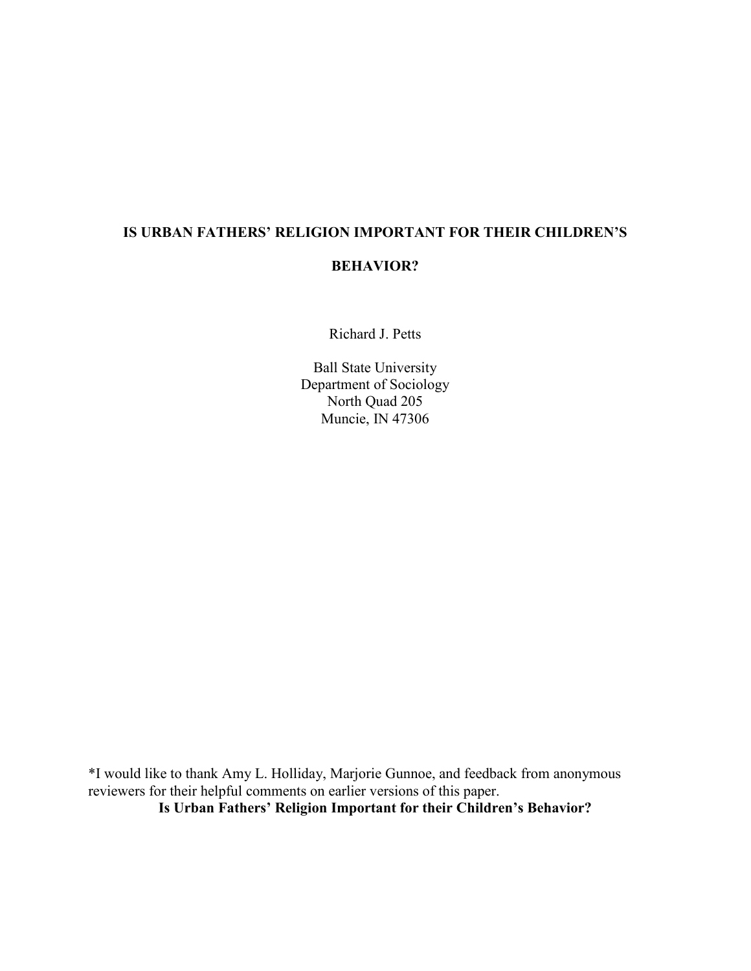# **IS URBAN FATHERS' RELIGION IMPORTANT FOR THEIR CHILDREN'S**

# **BEHAVIOR?**

Richard J. Petts

Ball State University Department of Sociology North Quad 205 Muncie, IN 47306

\*I would like to thank Amy L. Holliday, Marjorie Gunnoe, and feedback from anonymous reviewers for their helpful comments on earlier versions of this paper. **Is Urban Fathers' Religion Important for their Children's Behavior?**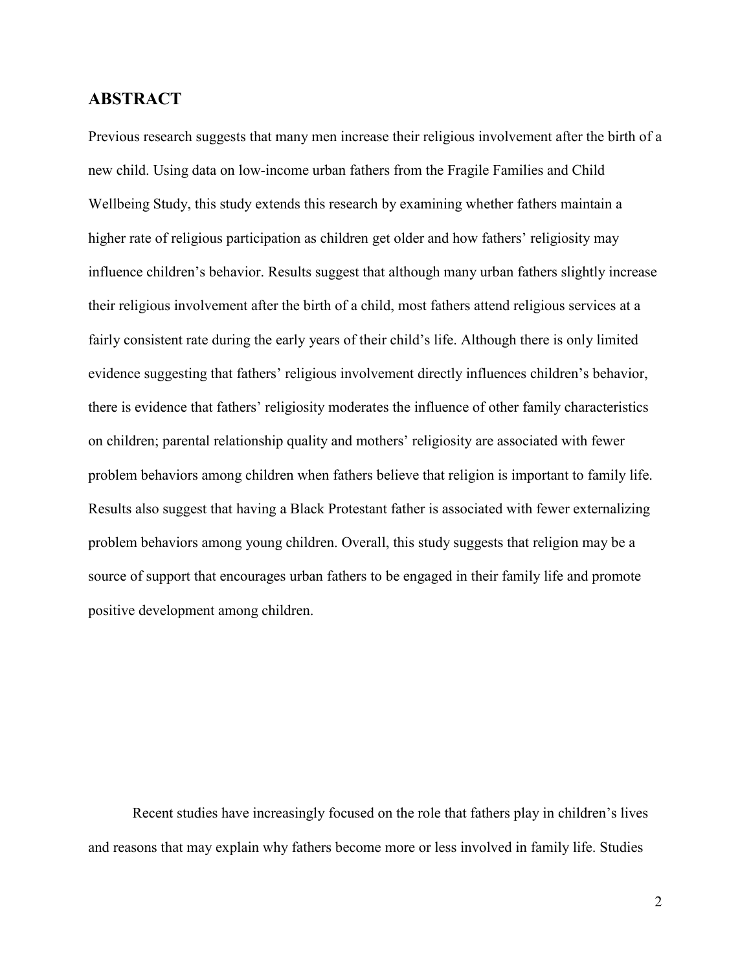# **ABSTRACT**

Previous research suggests that many men increase their religious involvement after the birth of a new child. Using data on low-income urban fathers from the Fragile Families and Child Wellbeing Study, this study extends this research by examining whether fathers maintain a higher rate of religious participation as children get older and how fathers' religiosity may influence children's behavior. Results suggest that although many urban fathers slightly increase their religious involvement after the birth of a child, most fathers attend religious services at a fairly consistent rate during the early years of their child's life. Although there is only limited evidence suggesting that fathers' religious involvement directly influences children's behavior, there is evidence that fathers' religiosity moderates the influence of other family characteristics on children; parental relationship quality and mothers' religiosity are associated with fewer problem behaviors among children when fathers believe that religion is important to family life. Results also suggest that having a Black Protestant father is associated with fewer externalizing problem behaviors among young children. Overall, this study suggests that religion may be a source of support that encourages urban fathers to be engaged in their family life and promote positive development among children.

Recent studies have increasingly focused on the role that fathers play in children's lives and reasons that may explain why fathers become more or less involved in family life. Studies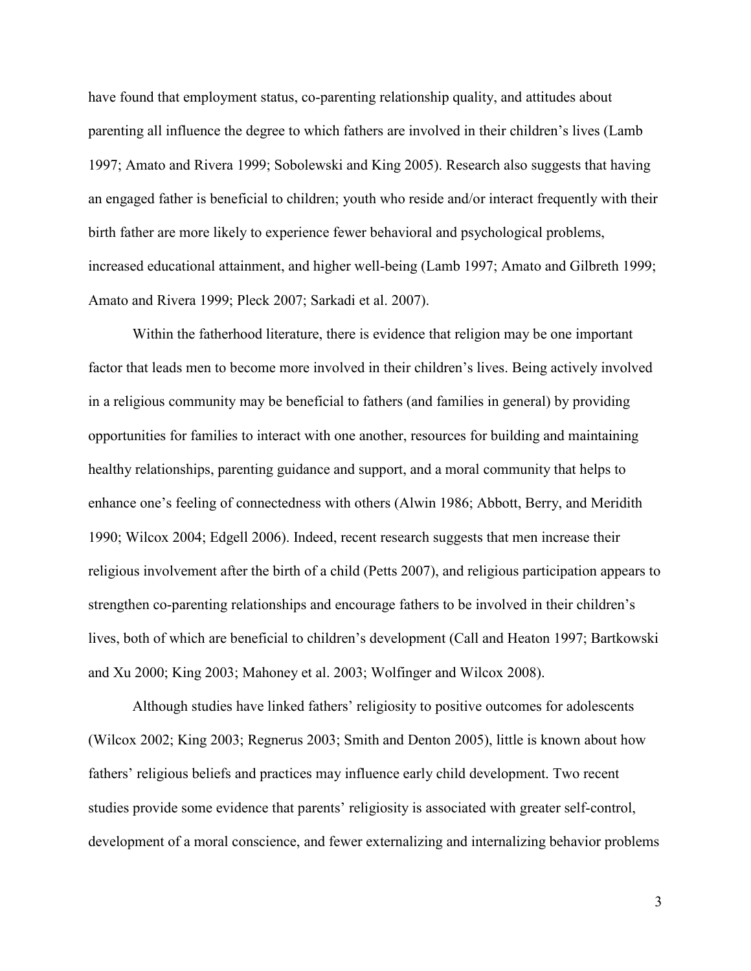have found that employment status, co-parenting relationship quality, and attitudes about parenting all influence the degree to which fathers are involved in their children's lives (Lamb 1997; Amato and Rivera 1999; Sobolewski and King 2005). Research also suggests that having an engaged father is beneficial to children; youth who reside and/or interact frequently with their birth father are more likely to experience fewer behavioral and psychological problems, increased educational attainment, and higher well-being (Lamb 1997; Amato and Gilbreth 1999; Amato and Rivera 1999; Pleck 2007; Sarkadi et al. 2007).

Within the fatherhood literature, there is evidence that religion may be one important factor that leads men to become more involved in their children's lives. Being actively involved in a religious community may be beneficial to fathers (and families in general) by providing opportunities for families to interact with one another, resources for building and maintaining healthy relationships, parenting guidance and support, and a moral community that helps to enhance one's feeling of connectedness with others (Alwin 1986; Abbott, Berry, and Meridith 1990; Wilcox 2004; Edgell 2006). Indeed, recent research suggests that men increase their religious involvement after the birth of a child (Petts 2007), and religious participation appears to strengthen co-parenting relationships and encourage fathers to be involved in their children's lives, both of which are beneficial to children's development (Call and Heaton 1997; Bartkowski and Xu 2000; King 2003; Mahoney et al. 2003; Wolfinger and Wilcox 2008).

Although studies have linked fathers' religiosity to positive outcomes for adolescents (Wilcox 2002; King 2003; Regnerus 2003; Smith and Denton 2005), little is known about how fathers' religious beliefs and practices may influence early child development. Two recent studies provide some evidence that parents' religiosity is associated with greater self-control, development of a moral conscience, and fewer externalizing and internalizing behavior problems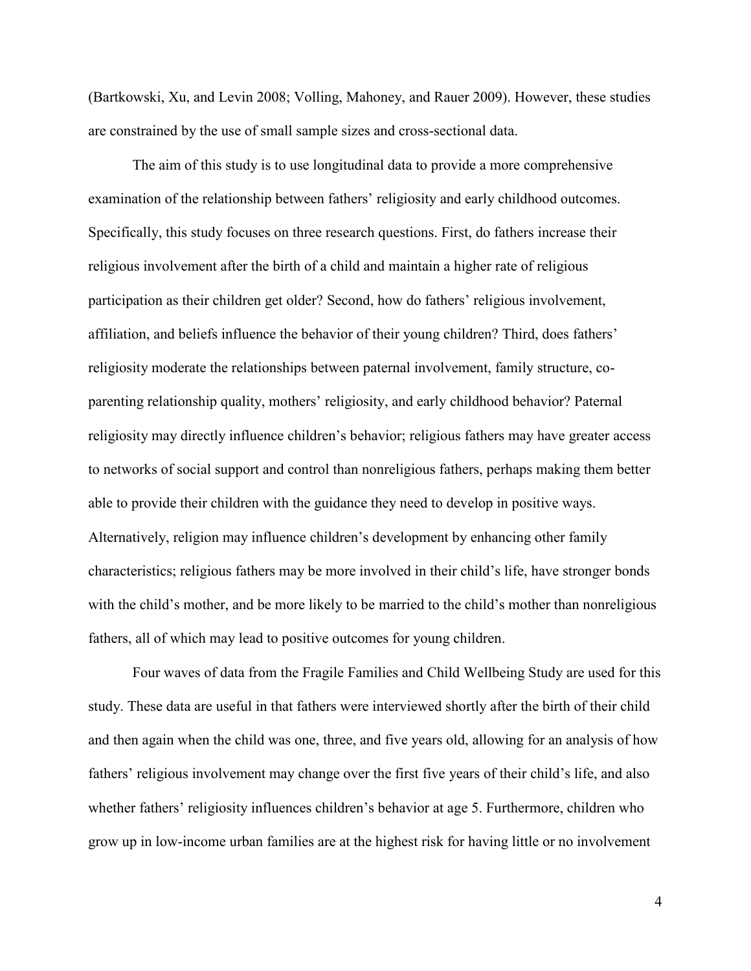(Bartkowski, Xu, and Levin 2008; Volling, Mahoney, and Rauer 2009). However, these studies are constrained by the use of small sample sizes and cross-sectional data.

The aim of this study is to use longitudinal data to provide a more comprehensive examination of the relationship between fathers' religiosity and early childhood outcomes. Specifically, this study focuses on three research questions. First, do fathers increase their religious involvement after the birth of a child and maintain a higher rate of religious participation as their children get older? Second, how do fathers' religious involvement, affiliation, and beliefs influence the behavior of their young children? Third, does fathers' religiosity moderate the relationships between paternal involvement, family structure, coparenting relationship quality, mothers' religiosity, and early childhood behavior? Paternal religiosity may directly influence children's behavior; religious fathers may have greater access to networks of social support and control than nonreligious fathers, perhaps making them better able to provide their children with the guidance they need to develop in positive ways. Alternatively, religion may influence children's development by enhancing other family characteristics; religious fathers may be more involved in their child's life, have stronger bonds with the child's mother, and be more likely to be married to the child's mother than nonreligious fathers, all of which may lead to positive outcomes for young children.

Four waves of data from the Fragile Families and Child Wellbeing Study are used for this study. These data are useful in that fathers were interviewed shortly after the birth of their child and then again when the child was one, three, and five years old, allowing for an analysis of how fathers' religious involvement may change over the first five years of their child's life, and also whether fathers' religiosity influences children's behavior at age 5. Furthermore, children who grow up in low-income urban families are at the highest risk for having little or no involvement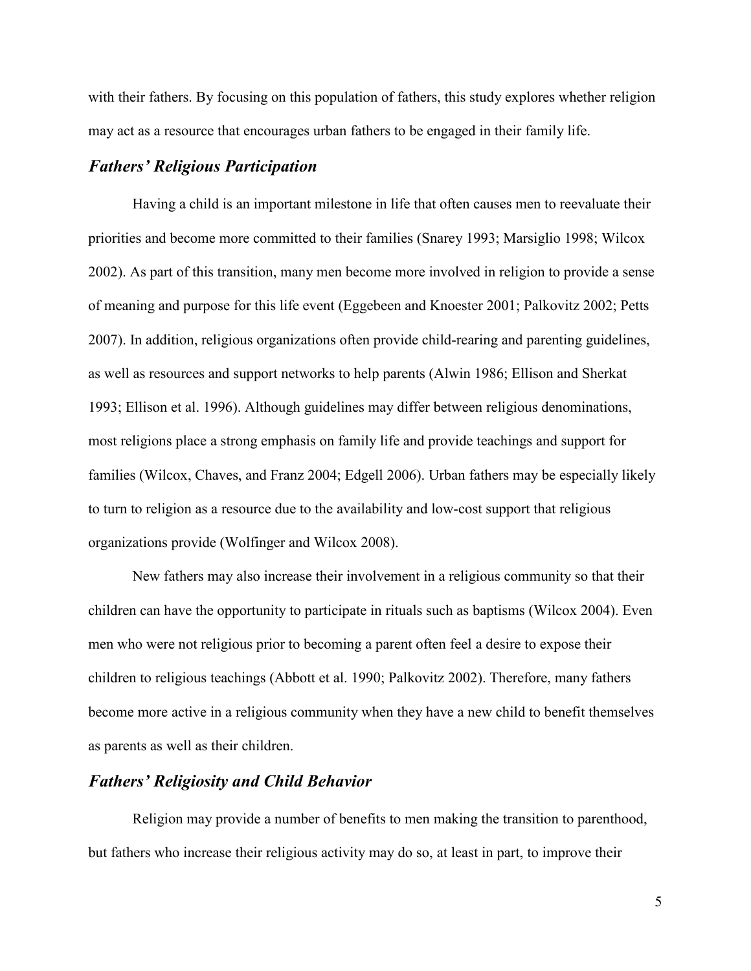with their fathers. By focusing on this population of fathers, this study explores whether religion may act as a resource that encourages urban fathers to be engaged in their family life.

# *Fathers' Religious Participation*

Having a child is an important milestone in life that often causes men to reevaluate their priorities and become more committed to their families (Snarey 1993; Marsiglio 1998; Wilcox 2002). As part of this transition, many men become more involved in religion to provide a sense of meaning and purpose for this life event (Eggebeen and Knoester 2001; Palkovitz 2002; Petts 2007). In addition, religious organizations often provide child-rearing and parenting guidelines, as well as resources and support networks to help parents (Alwin 1986; Ellison and Sherkat 1993; Ellison et al. 1996). Although guidelines may differ between religious denominations, most religions place a strong emphasis on family life and provide teachings and support for families (Wilcox, Chaves, and Franz 2004; Edgell 2006). Urban fathers may be especially likely to turn to religion as a resource due to the availability and low-cost support that religious organizations provide (Wolfinger and Wilcox 2008).

New fathers may also increase their involvement in a religious community so that their children can have the opportunity to participate in rituals such as baptisms (Wilcox 2004). Even men who were not religious prior to becoming a parent often feel a desire to expose their children to religious teachings (Abbott et al. 1990; Palkovitz 2002). Therefore, many fathers become more active in a religious community when they have a new child to benefit themselves as parents as well as their children.

### *Fathers' Religiosity and Child Behavior*

Religion may provide a number of benefits to men making the transition to parenthood, but fathers who increase their religious activity may do so, at least in part, to improve their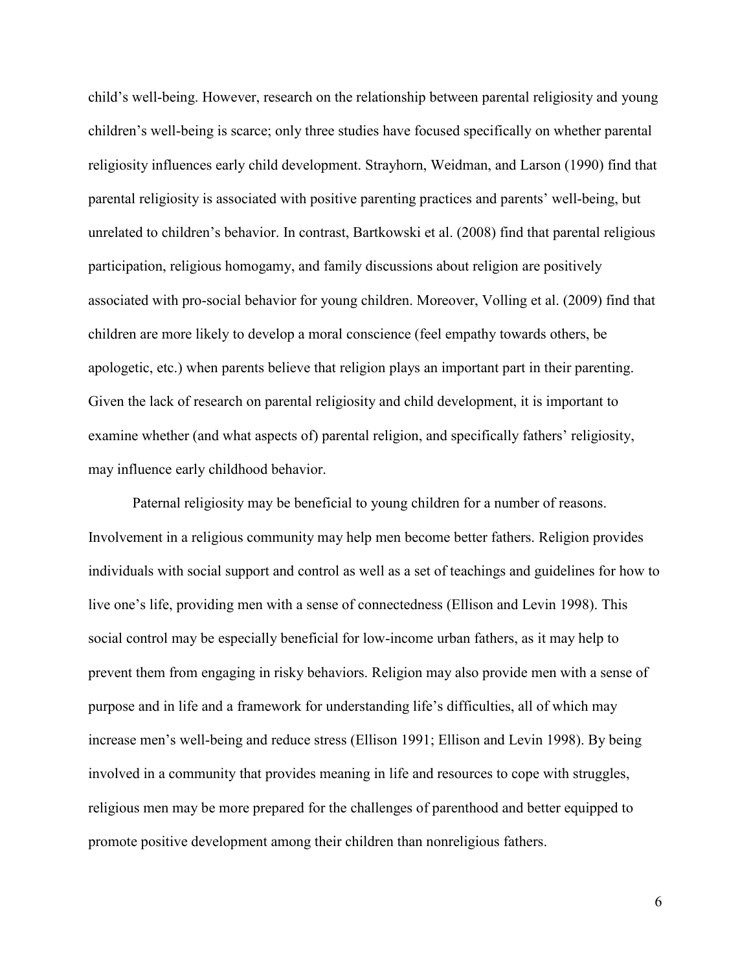child's well-being. However, research on the relationship between parental religiosity and young children's well-being is scarce; only three studies have focused specifically on whether parental religiosity influences early child development. Strayhorn, Weidman, and Larson (1990) find that parental religiosity is associated with positive parenting practices and parents' well-being, but unrelated to children's behavior. In contrast, Bartkowski et al. (2008) find that parental religious participation, religious homogamy, and family discussions about religion are positively associated with pro-social behavior for young children. Moreover, Volling et al. (2009) find that children are more likely to develop a moral conscience (feel empathy towards others, be apologetic, etc.) when parents believe that religion plays an important part in their parenting. Given the lack of research on parental religiosity and child development, it is important to examine whether (and what aspects of) parental religion, and specifically fathers' religiosity, may influence early childhood behavior.

Paternal religiosity may be beneficial to young children for a number of reasons. Involvement in a religious community may help men become better fathers. Religion provides individuals with social support and control as well as a set of teachings and guidelines for how to live one's life, providing men with a sense of connectedness (Ellison and Levin 1998). This social control may be especially beneficial for low-income urban fathers, as it may help to prevent them from engaging in risky behaviors. Religion may also provide men with a sense of purpose and in life and a framework for understanding life's difficulties, all of which may increase men's well-being and reduce stress (Ellison 1991; Ellison and Levin 1998). By being involved in a community that provides meaning in life and resources to cope with struggles, religious men may be more prepared for the challenges of parenthood and better equipped to promote positive development among their children than nonreligious fathers.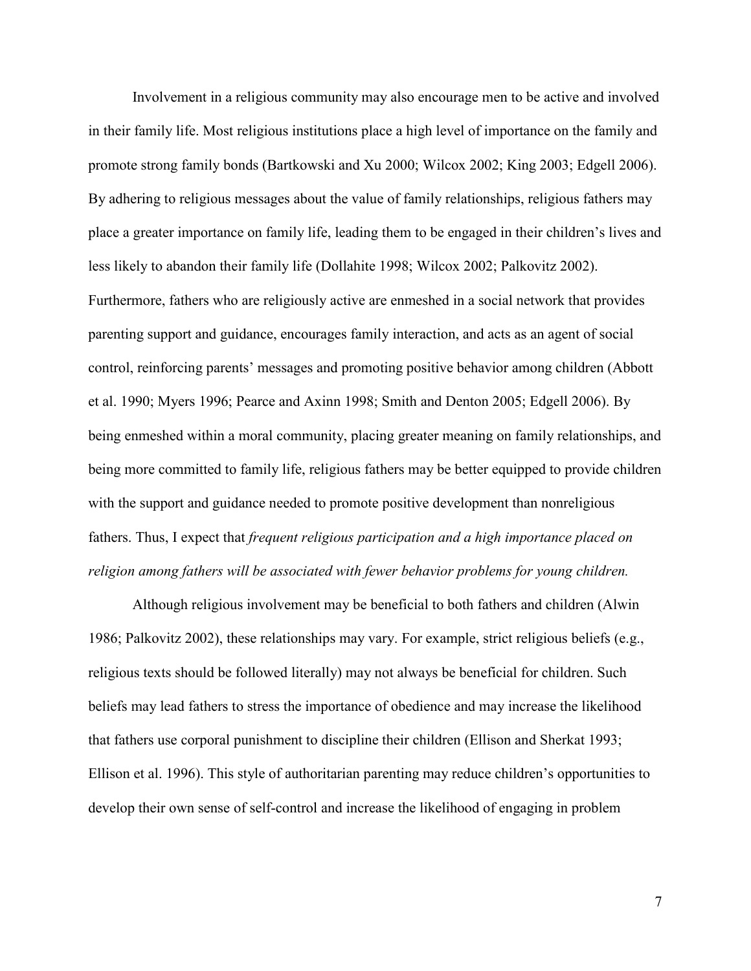Involvement in a religious community may also encourage men to be active and involved in their family life. Most religious institutions place a high level of importance on the family and promote strong family bonds (Bartkowski and Xu 2000; Wilcox 2002; King 2003; Edgell 2006). By adhering to religious messages about the value of family relationships, religious fathers may place a greater importance on family life, leading them to be engaged in their children's lives and less likely to abandon their family life (Dollahite 1998; Wilcox 2002; Palkovitz 2002). Furthermore, fathers who are religiously active are enmeshed in a social network that provides parenting support and guidance, encourages family interaction, and acts as an agent of social control, reinforcing parents' messages and promoting positive behavior among children (Abbott et al. 1990; Myers 1996; Pearce and Axinn 1998; Smith and Denton 2005; Edgell 2006). By being enmeshed within a moral community, placing greater meaning on family relationships, and being more committed to family life, religious fathers may be better equipped to provide children with the support and guidance needed to promote positive development than nonreligious fathers. Thus, I expect that *frequent religious participation and a high importance placed on religion among fathers will be associated with fewer behavior problems for young children.*

Although religious involvement may be beneficial to both fathers and children (Alwin 1986; Palkovitz 2002), these relationships may vary. For example, strict religious beliefs (e.g., religious texts should be followed literally) may not always be beneficial for children. Such beliefs may lead fathers to stress the importance of obedience and may increase the likelihood that fathers use corporal punishment to discipline their children (Ellison and Sherkat 1993; Ellison et al. 1996). This style of authoritarian parenting may reduce children's opportunities to develop their own sense of self-control and increase the likelihood of engaging in problem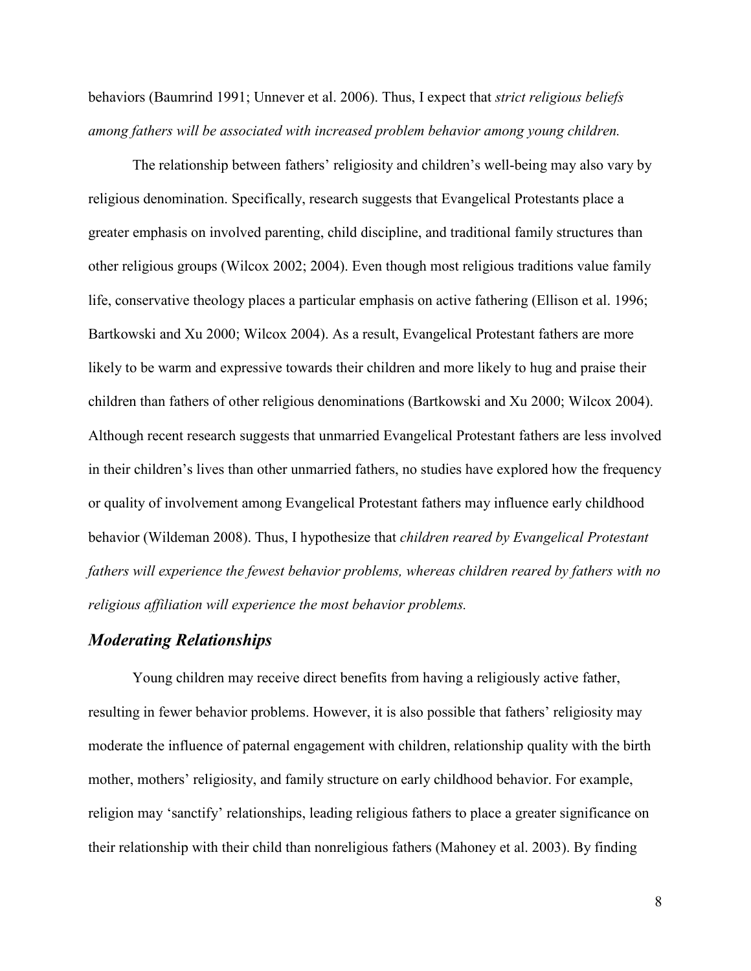behaviors (Baumrind 1991; Unnever et al. 2006). Thus, I expect that *strict religious beliefs among fathers will be associated with increased problem behavior among young children.*

The relationship between fathers' religiosity and children's well-being may also vary by religious denomination. Specifically, research suggests that Evangelical Protestants place a greater emphasis on involved parenting, child discipline, and traditional family structures than other religious groups (Wilcox 2002; 2004). Even though most religious traditions value family life, conservative theology places a particular emphasis on active fathering (Ellison et al. 1996; Bartkowski and Xu 2000; Wilcox 2004). As a result, Evangelical Protestant fathers are more likely to be warm and expressive towards their children and more likely to hug and praise their children than fathers of other religious denominations (Bartkowski and Xu 2000; Wilcox 2004). Although recent research suggests that unmarried Evangelical Protestant fathers are less involved in their children's lives than other unmarried fathers, no studies have explored how the frequency or quality of involvement among Evangelical Protestant fathers may influence early childhood behavior (Wildeman 2008). Thus, I hypothesize that *children reared by Evangelical Protestant fathers will experience the fewest behavior problems, whereas children reared by fathers with no religious affiliation will experience the most behavior problems.*

# *Moderating Relationships*

Young children may receive direct benefits from having a religiously active father, resulting in fewer behavior problems. However, it is also possible that fathers' religiosity may moderate the influence of paternal engagement with children, relationship quality with the birth mother, mothers' religiosity, and family structure on early childhood behavior. For example, religion may 'sanctify' relationships, leading religious fathers to place a greater significance on their relationship with their child than nonreligious fathers (Mahoney et al. 2003). By finding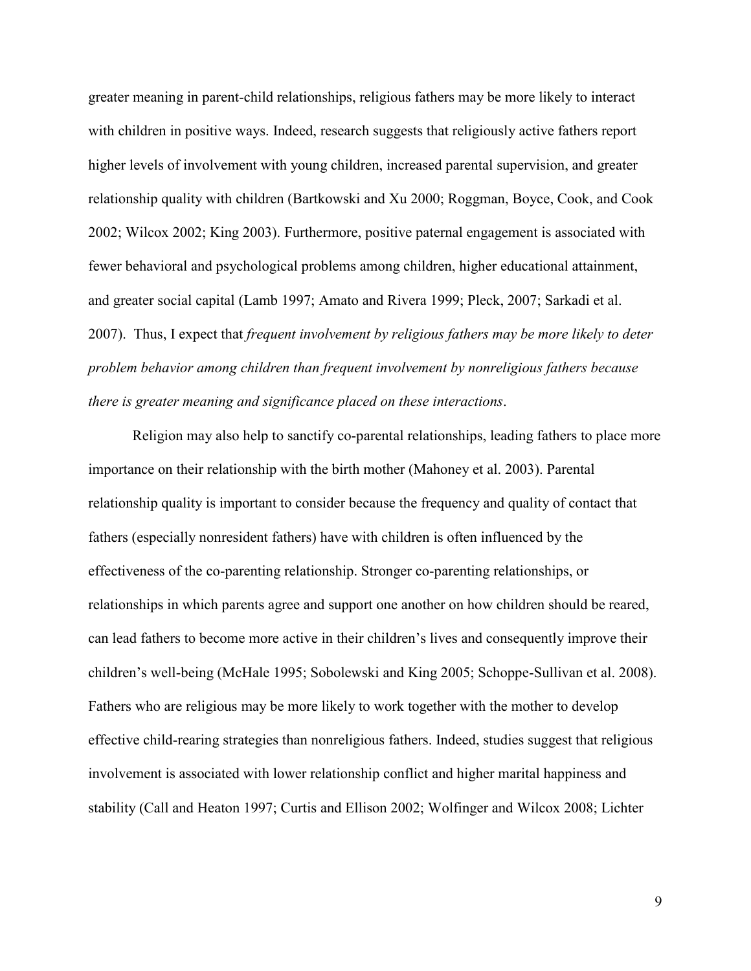greater meaning in parent-child relationships, religious fathers may be more likely to interact with children in positive ways. Indeed, research suggests that religiously active fathers report higher levels of involvement with young children, increased parental supervision, and greater relationship quality with children (Bartkowski and Xu 2000; Roggman, Boyce, Cook, and Cook 2002; Wilcox 2002; King 2003). Furthermore, positive paternal engagement is associated with fewer behavioral and psychological problems among children, higher educational attainment, and greater social capital (Lamb 1997; Amato and Rivera 1999; Pleck, 2007; Sarkadi et al. 2007). Thus, I expect that *frequent involvement by religious fathers may be more likely to deter problem behavior among children than frequent involvement by nonreligious fathers because there is greater meaning and significance placed on these interactions*.

Religion may also help to sanctify co-parental relationships, leading fathers to place more importance on their relationship with the birth mother (Mahoney et al. 2003). Parental relationship quality is important to consider because the frequency and quality of contact that fathers (especially nonresident fathers) have with children is often influenced by the effectiveness of the co-parenting relationship. Stronger co-parenting relationships, or relationships in which parents agree and support one another on how children should be reared, can lead fathers to become more active in their children's lives and consequently improve their children's well-being (McHale 1995; Sobolewski and King 2005; Schoppe-Sullivan et al. 2008). Fathers who are religious may be more likely to work together with the mother to develop effective child-rearing strategies than nonreligious fathers. Indeed, studies suggest that religious involvement is associated with lower relationship conflict and higher marital happiness and stability (Call and Heaton 1997; Curtis and Ellison 2002; Wolfinger and Wilcox 2008; Lichter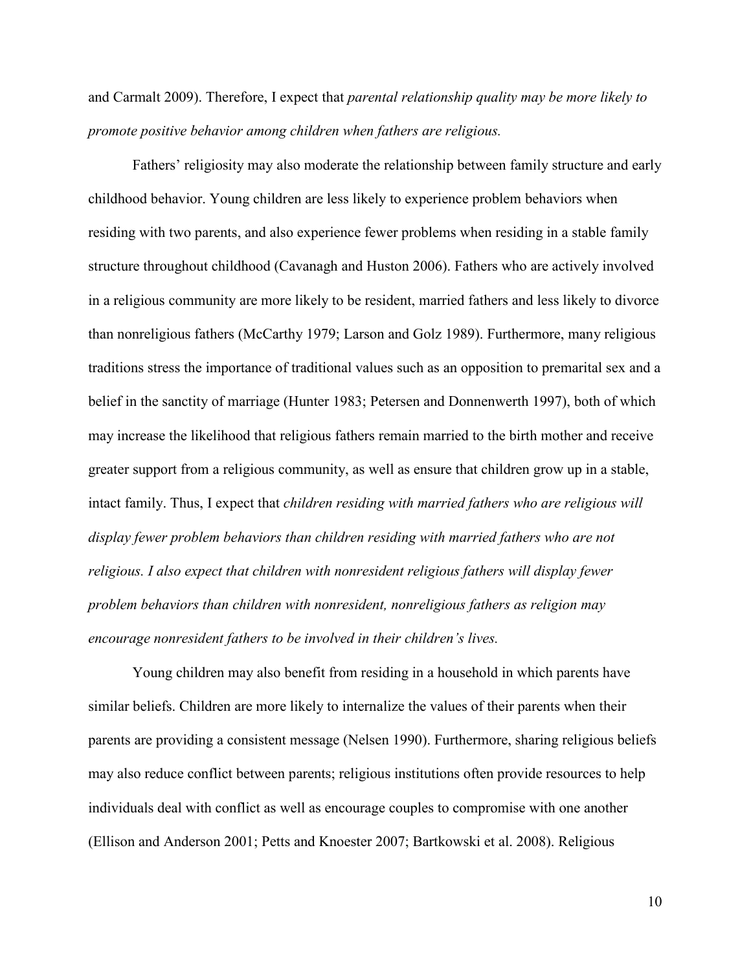and Carmalt 2009). Therefore, I expect that *parental relationship quality may be more likely to promote positive behavior among children when fathers are religious.*

Fathers' religiosity may also moderate the relationship between family structure and early childhood behavior. Young children are less likely to experience problem behaviors when residing with two parents, and also experience fewer problems when residing in a stable family structure throughout childhood (Cavanagh and Huston 2006). Fathers who are actively involved in a religious community are more likely to be resident, married fathers and less likely to divorce than nonreligious fathers (McCarthy 1979; Larson and Golz 1989). Furthermore, many religious traditions stress the importance of traditional values such as an opposition to premarital sex and a belief in the sanctity of marriage (Hunter 1983; Petersen and Donnenwerth 1997), both of which may increase the likelihood that religious fathers remain married to the birth mother and receive greater support from a religious community, as well as ensure that children grow up in a stable, intact family. Thus, I expect that *children residing with married fathers who are religious will display fewer problem behaviors than children residing with married fathers who are not religious. I also expect that children with nonresident religious fathers will display fewer problem behaviors than children with nonresident, nonreligious fathers as religion may encourage nonresident fathers to be involved in their children's lives.*

Young children may also benefit from residing in a household in which parents have similar beliefs. Children are more likely to internalize the values of their parents when their parents are providing a consistent message (Nelsen 1990). Furthermore, sharing religious beliefs may also reduce conflict between parents; religious institutions often provide resources to help individuals deal with conflict as well as encourage couples to compromise with one another (Ellison and Anderson 2001; Petts and Knoester 2007; Bartkowski et al. 2008). Religious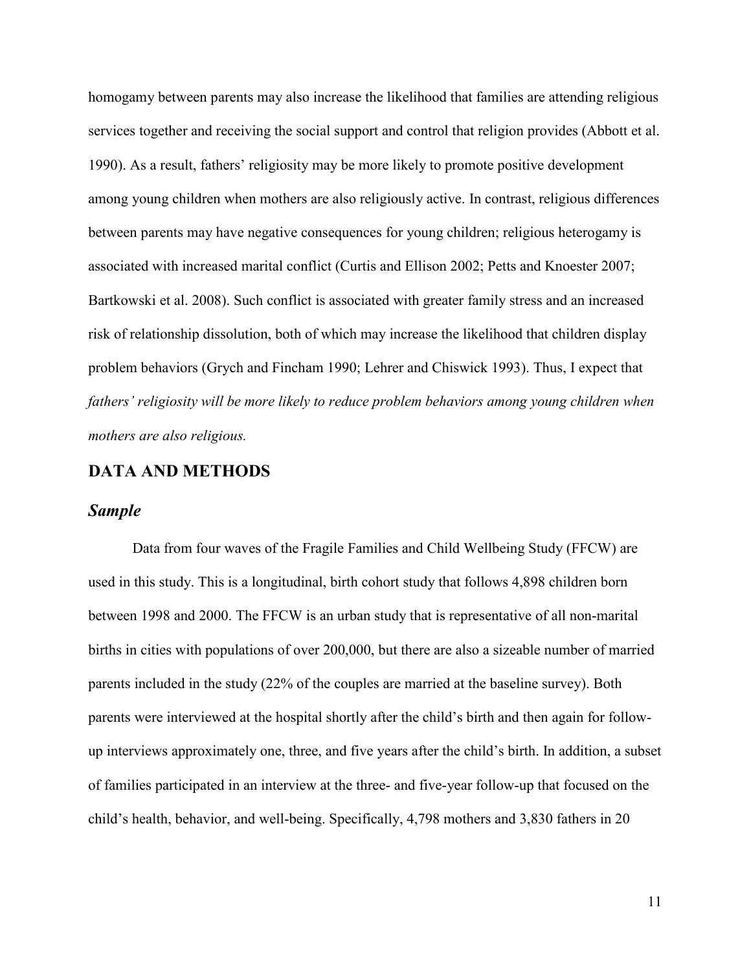homogamy between parents may also increase the likelihood that families are attending religious services together and receiving the social support and control that religion provides (Abbott et al. 1990). As a result, fathers' religiosity may be more likely to promote positive development among young children when mothers are also religiously active. In contrast, religious differences between parents may have negative consequences for young children; religious heterogamy is associated with increased marital conflict (Curtis and Ellison 2002; Petts and Knoester 2007; Bartkowski et al. 2008). Such conflict is associated with greater family stress and an increased risk of relationship dissolution, both of which may increase the likelihood that children display problem behaviors (Grych and Fincham 1990; Lehrer and Chiswick 1993). Thus, I expect that *fathers' religiosity will be more likely to reduce problem behaviors among young children when mothers are also religious.*

# **DATA AND METHODS**

### *Sample*

Data from four waves of the Fragile Families and Child Wellbeing Study (FFCW) are used in this study. This is a longitudinal, birth cohort study that follows 4,898 children born between 1998 and 2000. The FFCW is an urban study that is representative of all non-marital births in cities with populations of over 200,000, but there are also a sizeable number of married parents included in the study (22% of the couples are married at the baseline survey). Both parents were interviewed at the hospital shortly after the child's birth and then again for followup interviews approximately one, three, and five years after the child's birth. In addition, a subset of families participated in an interview at the three- and five-year follow-up that focused on the child's health, behavior, and well-being. Specifically, 4,798 mothers and 3,830 fathers in 20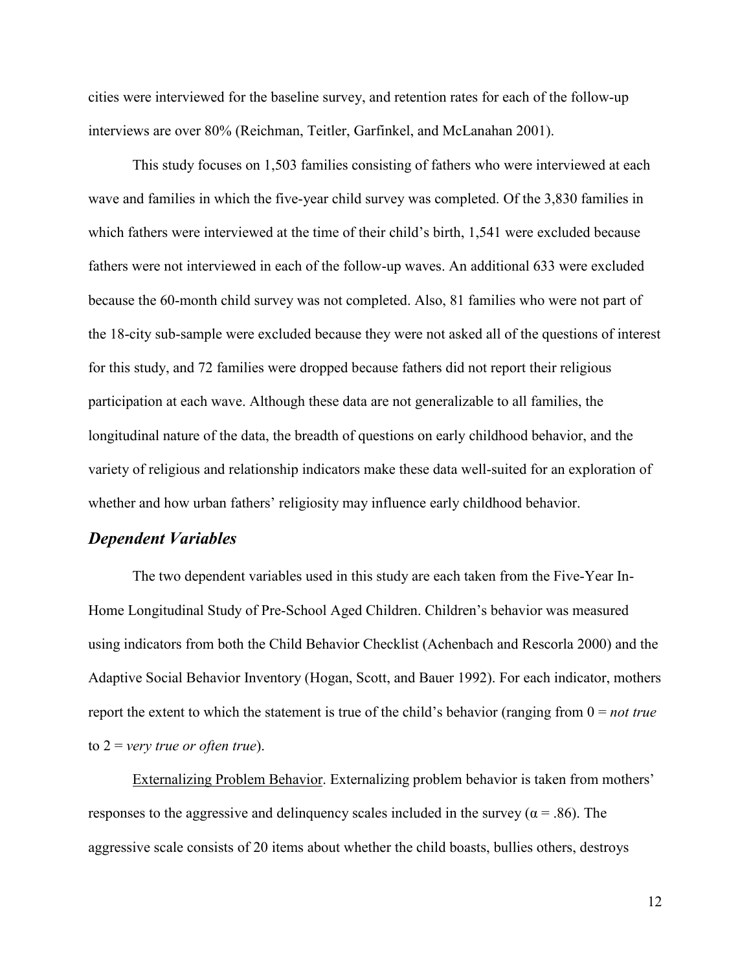cities were interviewed for the baseline survey, and retention rates for each of the follow-up interviews are over 80% (Reichman, Teitler, Garfinkel, and McLanahan 2001).

This study focuses on 1,503 families consisting of fathers who were interviewed at each wave and families in which the five-year child survey was completed. Of the 3,830 families in which fathers were interviewed at the time of their child's birth, 1,541 were excluded because fathers were not interviewed in each of the follow-up waves. An additional 633 were excluded because the 60-month child survey was not completed. Also, 81 families who were not part of the 18-city sub-sample were excluded because they were not asked all of the questions of interest for this study, and 72 families were dropped because fathers did not report their religious participation at each wave. Although these data are not generalizable to all families, the longitudinal nature of the data, the breadth of questions on early childhood behavior, and the variety of religious and relationship indicators make these data well-suited for an exploration of whether and how urban fathers' religiosity may influence early childhood behavior.

#### *Dependent Variables*

 The two dependent variables used in this study are each taken from the Five-Year In-Home Longitudinal Study of Pre-School Aged Children. Children's behavior was measured using indicators from both the Child Behavior Checklist (Achenbach and Rescorla 2000) and the Adaptive Social Behavior Inventory (Hogan, Scott, and Bauer 1992). For each indicator, mothers report the extent to which the statement is true of the child's behavior (ranging from 0 = *not true*  to 2 = *very true or often true*).

 Externalizing Problem Behavior. Externalizing problem behavior is taken from mothers' responses to the aggressive and delinquency scales included in the survey ( $\alpha = .86$ ). The aggressive scale consists of 20 items about whether the child boasts, bullies others, destroys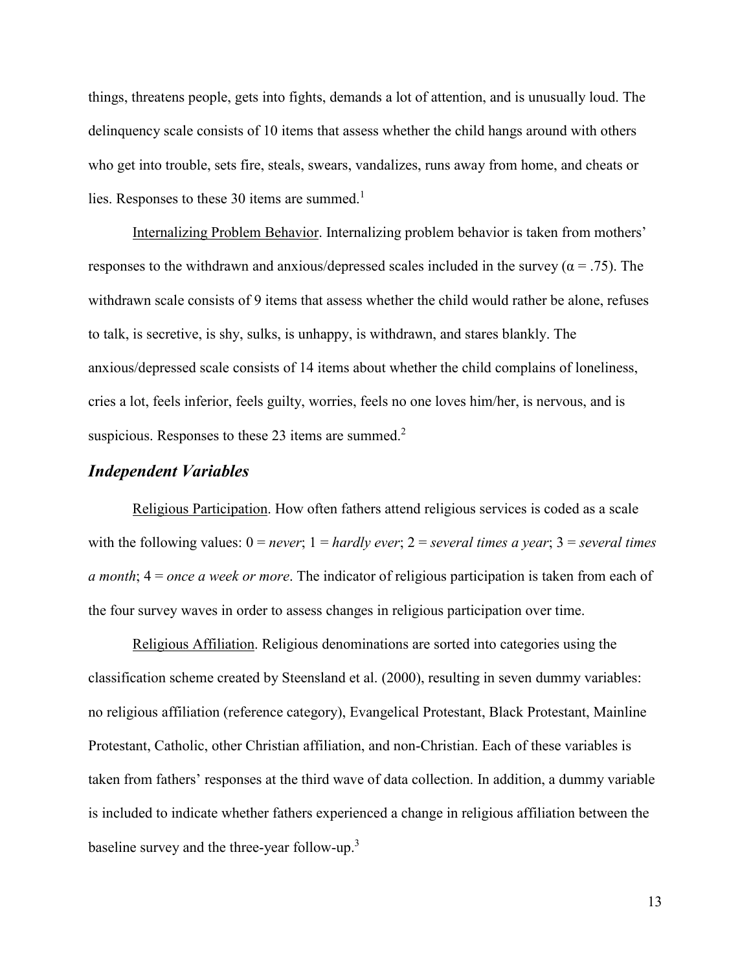things, threatens people, gets into fights, demands a lot of attention, and is unusually loud. The delinquency scale consists of 10 items that assess whether the child hangs around with others who get into trouble, sets fire, steals, swears, vandalizes, runs away from home, and cheats or lies. Responses to these 30 items are summed.<sup>1</sup>

 Internalizing Problem Behavior. Internalizing problem behavior is taken from mothers' responses to the withdrawn and anxious/depressed scales included in the survey ( $\alpha = .75$ ). The withdrawn scale consists of 9 items that assess whether the child would rather be alone, refuses to talk, is secretive, is shy, sulks, is unhappy, is withdrawn, and stares blankly. The anxious/depressed scale consists of 14 items about whether the child complains of loneliness, cries a lot, feels inferior, feels guilty, worries, feels no one loves him/her, is nervous, and is suspicious. Responses to these 23 items are summed. $2^2$ 

# *Independent Variables*

Religious Participation. How often fathers attend religious services is coded as a scale with the following values:  $0 = never$ ;  $1 = hardly$  *ever*;  $2 = several$  *times a year*;  $3 = several$  *times a month*; 4 = *once a week or more*. The indicator of religious participation is taken from each of the four survey waves in order to assess changes in religious participation over time.

Religious Affiliation. Religious denominations are sorted into categories using the classification scheme created by Steensland et al. (2000), resulting in seven dummy variables: no religious affiliation (reference category), Evangelical Protestant, Black Protestant, Mainline Protestant, Catholic, other Christian affiliation, and non-Christian. Each of these variables is taken from fathers' responses at the third wave of data collection. In addition, a dummy variable is included to indicate whether fathers experienced a change in religious affiliation between the baseline survey and the three-year follow-up.<sup>3</sup>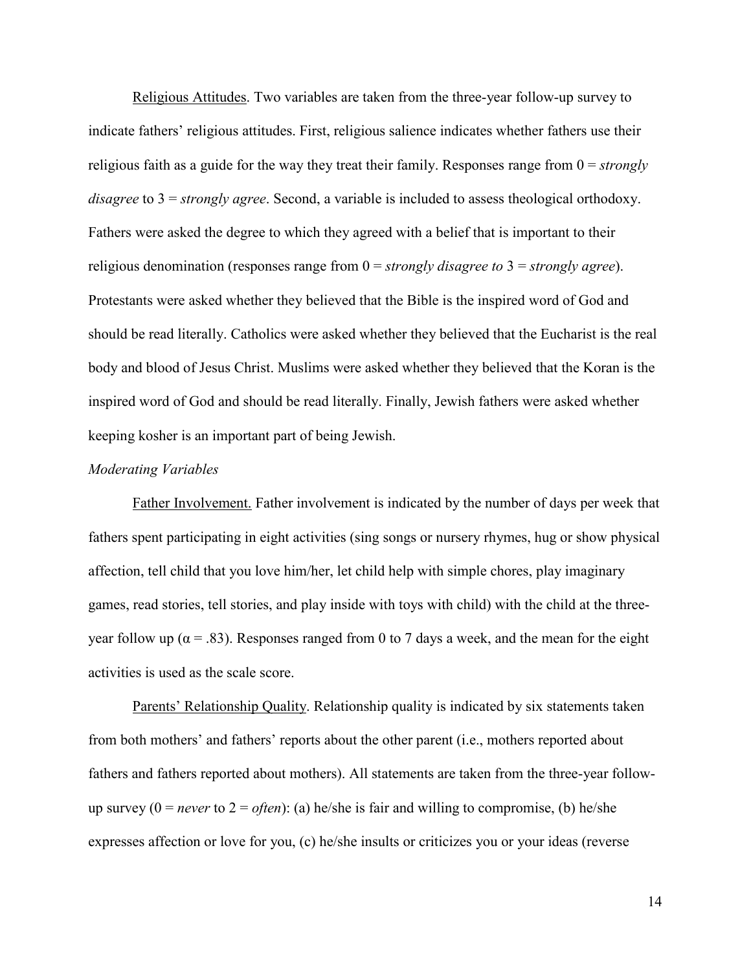Religious Attitudes. Two variables are taken from the three-year follow-up survey to indicate fathers' religious attitudes. First, religious salience indicates whether fathers use their religious faith as a guide for the way they treat their family. Responses range from 0 = *strongly disagree* to 3 = *strongly agree*. Second, a variable is included to assess theological orthodoxy. Fathers were asked the degree to which they agreed with a belief that is important to their religious denomination (responses range from 0 = *strongly disagree to* 3 = *strongly agree*). Protestants were asked whether they believed that the Bible is the inspired word of God and should be read literally. Catholics were asked whether they believed that the Eucharist is the real body and blood of Jesus Christ. Muslims were asked whether they believed that the Koran is the inspired word of God and should be read literally. Finally, Jewish fathers were asked whether keeping kosher is an important part of being Jewish.

#### *Moderating Variables*

Father Involvement. Father involvement is indicated by the number of days per week that fathers spent participating in eight activities (sing songs or nursery rhymes, hug or show physical affection, tell child that you love him/her, let child help with simple chores, play imaginary games, read stories, tell stories, and play inside with toys with child) with the child at the threeyear follow up ( $\alpha$  = .83). Responses ranged from 0 to 7 days a week, and the mean for the eight activities is used as the scale score.

Parents' Relationship Quality. Relationship quality is indicated by six statements taken from both mothers' and fathers' reports about the other parent (i.e., mothers reported about fathers and fathers reported about mothers). All statements are taken from the three-year followup survey  $(0 = never to 2 = often)$ : (a) he/she is fair and willing to compromise, (b) he/she expresses affection or love for you, (c) he/she insults or criticizes you or your ideas (reverse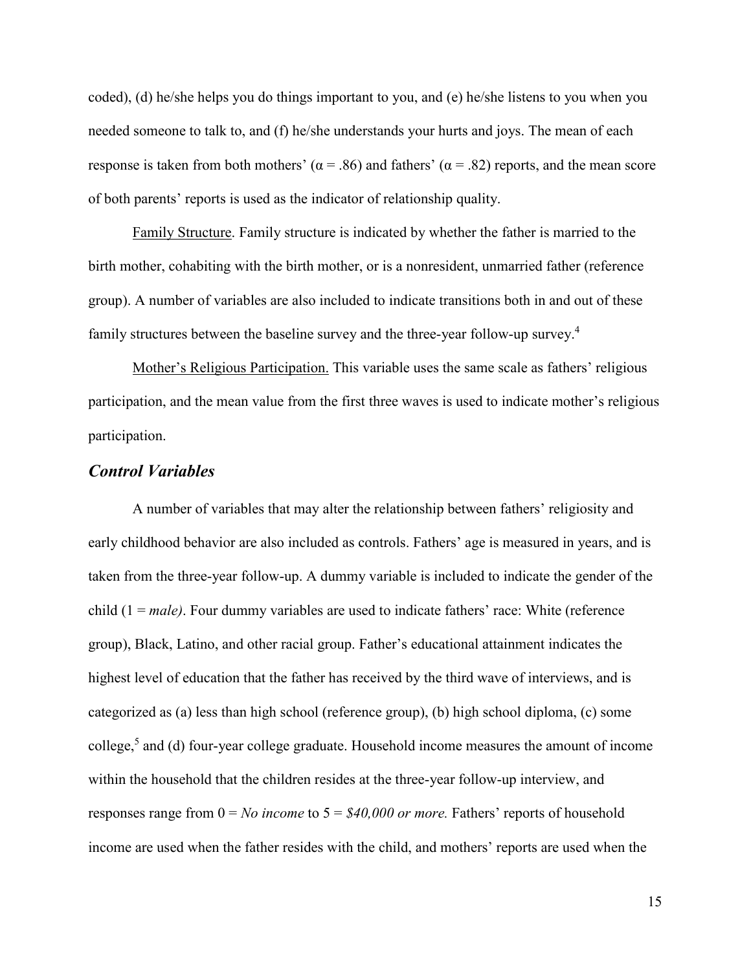coded), (d) he/she helps you do things important to you, and (e) he/she listens to you when you needed someone to talk to, and (f) he/she understands your hurts and joys. The mean of each response is taken from both mothers' ( $\alpha$  = .86) and fathers' ( $\alpha$  = .82) reports, and the mean score of both parents' reports is used as the indicator of relationship quality.

Family Structure. Family structure is indicated by whether the father is married to the birth mother, cohabiting with the birth mother, or is a nonresident, unmarried father (reference group). A number of variables are also included to indicate transitions both in and out of these family structures between the baseline survey and the three-year follow-up survey.<sup>4</sup>

Mother's Religious Participation. This variable uses the same scale as fathers' religious participation, and the mean value from the first three waves is used to indicate mother's religious participation.

# *Control Variables*

A number of variables that may alter the relationship between fathers' religiosity and early childhood behavior are also included as controls. Fathers' age is measured in years, and is taken from the three-year follow-up. A dummy variable is included to indicate the gender of the child (1 = *male)*. Four dummy variables are used to indicate fathers' race: White (reference group), Black, Latino, and other racial group. Father's educational attainment indicates the highest level of education that the father has received by the third wave of interviews, and is categorized as (a) less than high school (reference group), (b) high school diploma, (c) some college,<sup>5</sup> and (d) four-year college graduate. Household income measures the amount of income within the household that the children resides at the three-year follow-up interview, and responses range from 0 = *No income* to 5 = *\$40,000 or more.* Fathers' reports of household income are used when the father resides with the child, and mothers' reports are used when the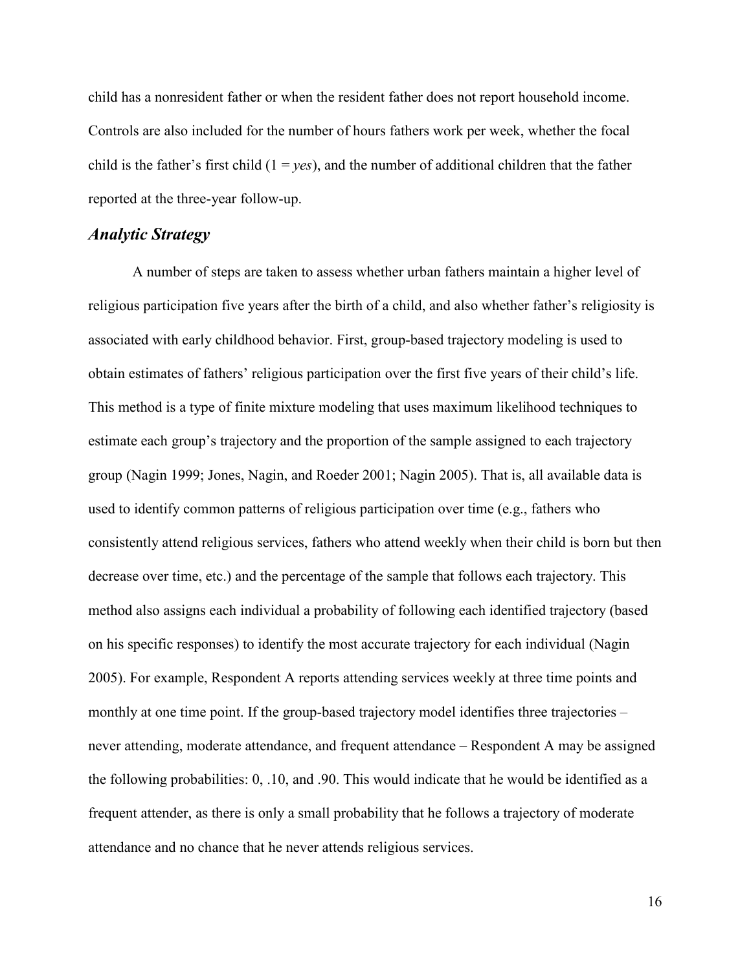child has a nonresident father or when the resident father does not report household income. Controls are also included for the number of hours fathers work per week, whether the focal child is the father's first child  $(1 = \nu \varepsilon s)$ , and the number of additional children that the father reported at the three-year follow-up.

# *Analytic Strategy*

A number of steps are taken to assess whether urban fathers maintain a higher level of religious participation five years after the birth of a child, and also whether father's religiosity is associated with early childhood behavior. First, group-based trajectory modeling is used to obtain estimates of fathers' religious participation over the first five years of their child's life. This method is a type of finite mixture modeling that uses maximum likelihood techniques to estimate each group's trajectory and the proportion of the sample assigned to each trajectory group (Nagin 1999; Jones, Nagin, and Roeder 2001; Nagin 2005). That is, all available data is used to identify common patterns of religious participation over time (e.g., fathers who consistently attend religious services, fathers who attend weekly when their child is born but then decrease over time, etc.) and the percentage of the sample that follows each trajectory. This method also assigns each individual a probability of following each identified trajectory (based on his specific responses) to identify the most accurate trajectory for each individual (Nagin 2005). For example, Respondent A reports attending services weekly at three time points and monthly at one time point. If the group-based trajectory model identifies three trajectories – never attending, moderate attendance, and frequent attendance – Respondent A may be assigned the following probabilities: 0, .10, and .90. This would indicate that he would be identified as a frequent attender, as there is only a small probability that he follows a trajectory of moderate attendance and no chance that he never attends religious services.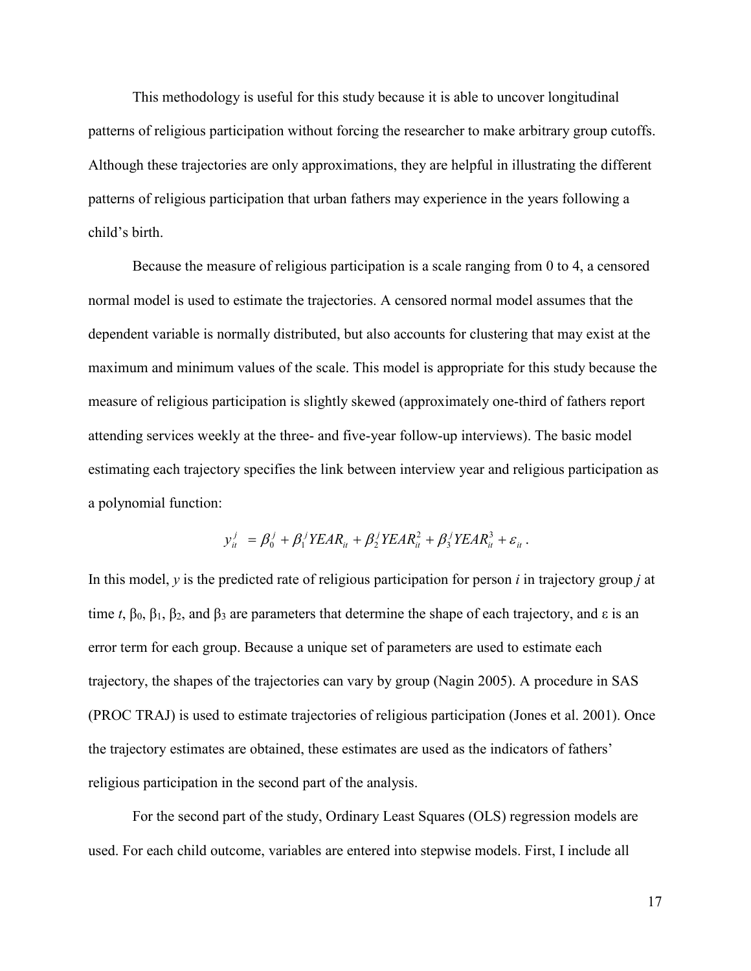This methodology is useful for this study because it is able to uncover longitudinal patterns of religious participation without forcing the researcher to make arbitrary group cutoffs. Although these trajectories are only approximations, they are helpful in illustrating the different patterns of religious participation that urban fathers may experience in the years following a child's birth.

Because the measure of religious participation is a scale ranging from 0 to 4, a censored normal model is used to estimate the trajectories. A censored normal model assumes that the dependent variable is normally distributed, but also accounts for clustering that may exist at the maximum and minimum values of the scale. This model is appropriate for this study because the measure of religious participation is slightly skewed (approximately one-third of fathers report attending services weekly at the three- and five-year follow-up interviews). The basic model estimating each trajectory specifies the link between interview year and religious participation as a polynomial function:

$$
y_{it}^j = \beta_0^j + \beta_1^j Y E A R_{it} + \beta_2^j Y E A R_{it}^2 + \beta_3^j Y E A R_{it}^3 + \varepsilon_{it}.
$$

In this model, *y* is the predicted rate of religious participation for person *i* in trajectory group *j* at time *t*,  $\beta_0$ ,  $\beta_1$ ,  $\beta_2$ , and  $\beta_3$  are parameters that determine the shape of each trajectory, and  $\varepsilon$  is an error term for each group. Because a unique set of parameters are used to estimate each trajectory, the shapes of the trajectories can vary by group (Nagin 2005). A procedure in SAS (PROC TRAJ) is used to estimate trajectories of religious participation (Jones et al. 2001). Once the trajectory estimates are obtained, these estimates are used as the indicators of fathers' religious participation in the second part of the analysis.

For the second part of the study, Ordinary Least Squares (OLS) regression models are used. For each child outcome, variables are entered into stepwise models. First, I include all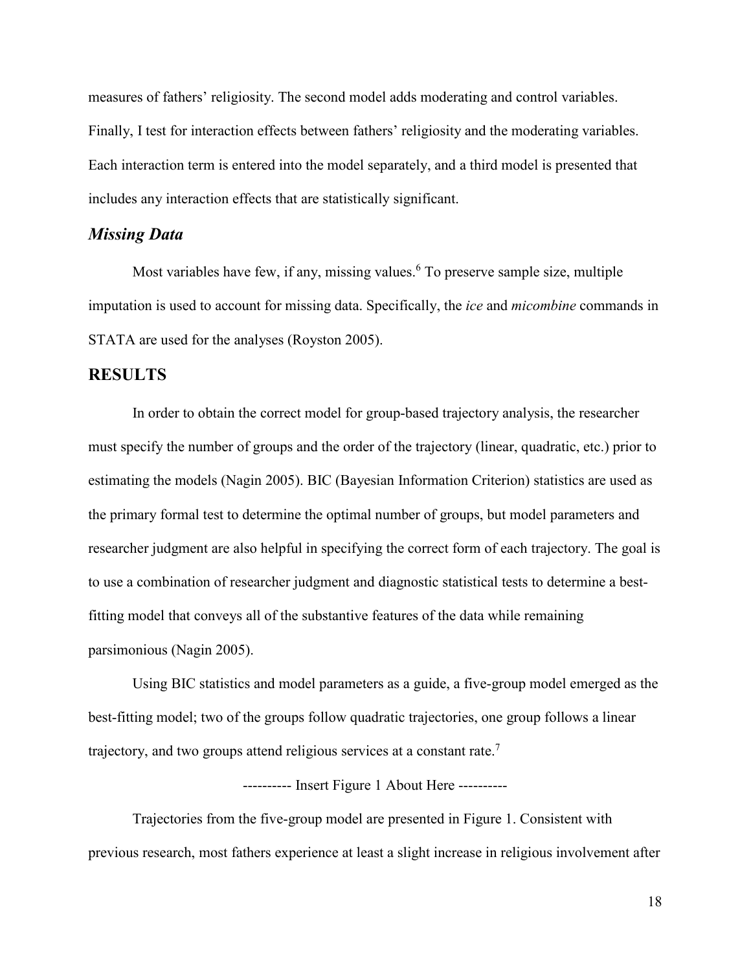measures of fathers' religiosity. The second model adds moderating and control variables. Finally, I test for interaction effects between fathers' religiosity and the moderating variables. Each interaction term is entered into the model separately, and a third model is presented that includes any interaction effects that are statistically significant.

#### *Missing Data*

Most variables have few, if any, missing values.<sup>6</sup> To preserve sample size, multiple imputation is used to account for missing data. Specifically, the *ice* and *micombine* commands in STATA are used for the analyses (Royston 2005).

# **RESULTS**

In order to obtain the correct model for group-based trajectory analysis, the researcher must specify the number of groups and the order of the trajectory (linear, quadratic, etc.) prior to estimating the models (Nagin 2005). BIC (Bayesian Information Criterion) statistics are used as the primary formal test to determine the optimal number of groups, but model parameters and researcher judgment are also helpful in specifying the correct form of each trajectory. The goal is to use a combination of researcher judgment and diagnostic statistical tests to determine a bestfitting model that conveys all of the substantive features of the data while remaining parsimonious (Nagin 2005).

Using BIC statistics and model parameters as a guide, a five-group model emerged as the best-fitting model; two of the groups follow quadratic trajectories, one group follows a linear trajectory, and two groups attend religious services at a constant rate.<sup>7</sup>

---------- Insert Figure 1 About Here ----------

Trajectories from the five-group model are presented in Figure 1. Consistent with previous research, most fathers experience at least a slight increase in religious involvement after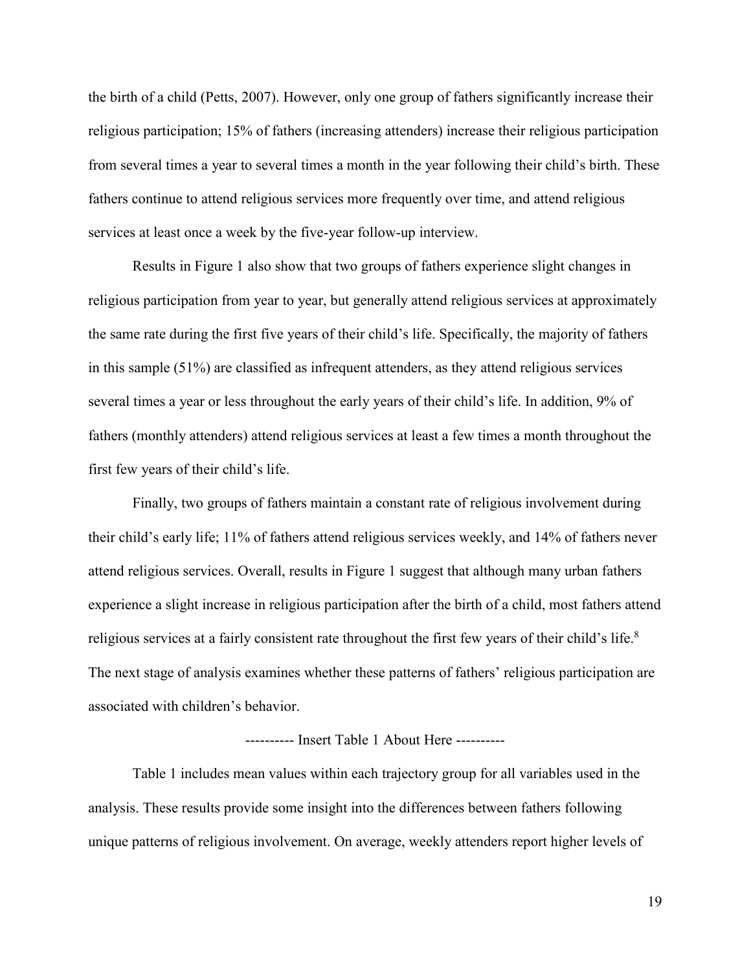the birth of a child (Petts, 2007). However, only one group of fathers significantly increase their religious participation; 15% of fathers (increasing attenders) increase their religious participation from several times a year to several times a month in the year following their child's birth. These fathers continue to attend religious services more frequently over time, and attend religious services at least once a week by the five-year follow-up interview.

Results in Figure 1 also show that two groups of fathers experience slight changes in religious participation from year to year, but generally attend religious services at approximately the same rate during the first five years of their child's life. Specifically, the majority of fathers in this sample (51%) are classified as infrequent attenders, as they attend religious services several times a year or less throughout the early years of their child's life. In addition, 9% of fathers (monthly attenders) attend religious services at least a few times a month throughout the first few years of their child's life.

Finally, two groups of fathers maintain a constant rate of religious involvement during their child's early life; 11% of fathers attend religious services weekly, and 14% of fathers never attend religious services. Overall, results in Figure 1 suggest that although many urban fathers experience a slight increase in religious participation after the birth of a child, most fathers attend religious services at a fairly consistent rate throughout the first few years of their child's life.<sup>8</sup> The next stage of analysis examines whether these patterns of fathers' religious participation are associated with children's behavior.

#### ---------- Insert Table 1 About Here ----------

Table 1 includes mean values within each trajectory group for all variables used in the analysis. These results provide some insight into the differences between fathers following unique patterns of religious involvement. On average, weekly attenders report higher levels of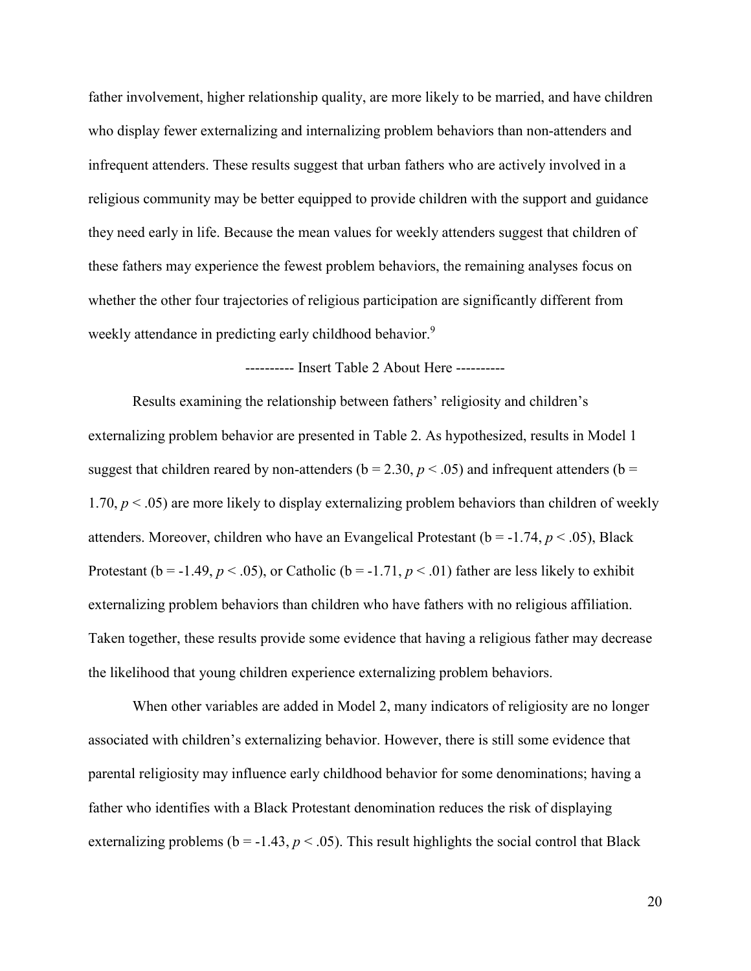father involvement, higher relationship quality, are more likely to be married, and have children who display fewer externalizing and internalizing problem behaviors than non-attenders and infrequent attenders. These results suggest that urban fathers who are actively involved in a religious community may be better equipped to provide children with the support and guidance they need early in life. Because the mean values for weekly attenders suggest that children of these fathers may experience the fewest problem behaviors, the remaining analyses focus on whether the other four trajectories of religious participation are significantly different from weekly attendance in predicting early childhood behavior.<sup>9</sup>

---------- Insert Table 2 About Here ----------

Results examining the relationship between fathers' religiosity and children's externalizing problem behavior are presented in Table 2. As hypothesized, results in Model 1 suggest that children reared by non-attenders ( $b = 2.30$ ,  $p < .05$ ) and infrequent attenders ( $b =$ 1.70,  $p < .05$ ) are more likely to display externalizing problem behaviors than children of weekly attenders. Moreover, children who have an Evangelical Protestant ( $b = -1.74$ ,  $p < .05$ ), Black Protestant ( $b = -1.49$ ,  $p < .05$ ), or Catholic ( $b = -1.71$ ,  $p < .01$ ) father are less likely to exhibit externalizing problem behaviors than children who have fathers with no religious affiliation. Taken together, these results provide some evidence that having a religious father may decrease the likelihood that young children experience externalizing problem behaviors.

When other variables are added in Model 2, many indicators of religiosity are no longer associated with children's externalizing behavior. However, there is still some evidence that parental religiosity may influence early childhood behavior for some denominations; having a father who identifies with a Black Protestant denomination reduces the risk of displaying externalizing problems ( $b = -1.43$ ,  $p < .05$ ). This result highlights the social control that Black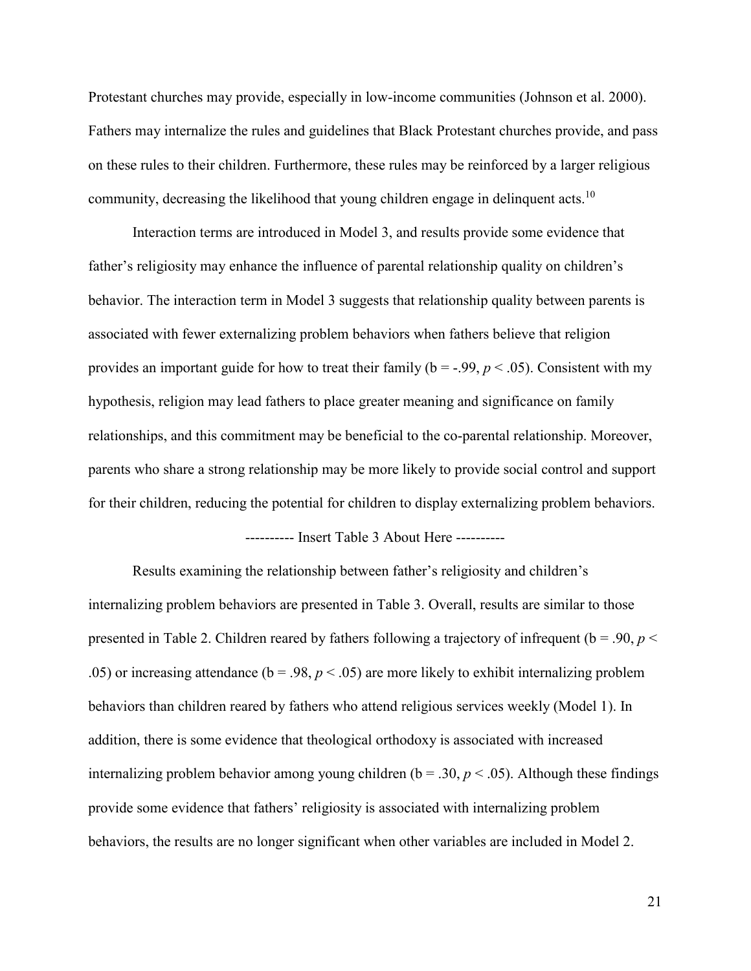Protestant churches may provide, especially in low-income communities (Johnson et al. 2000). Fathers may internalize the rules and guidelines that Black Protestant churches provide, and pass on these rules to their children. Furthermore, these rules may be reinforced by a larger religious community, decreasing the likelihood that young children engage in delinquent acts.<sup>10</sup>

Interaction terms are introduced in Model 3, and results provide some evidence that father's religiosity may enhance the influence of parental relationship quality on children's behavior. The interaction term in Model 3 suggests that relationship quality between parents is associated with fewer externalizing problem behaviors when fathers believe that religion provides an important guide for how to treat their family ( $b = -0.99$ ,  $p < 0.05$ ). Consistent with my hypothesis, religion may lead fathers to place greater meaning and significance on family relationships, and this commitment may be beneficial to the co-parental relationship. Moreover, parents who share a strong relationship may be more likely to provide social control and support for their children, reducing the potential for children to display externalizing problem behaviors.

---------- Insert Table 3 About Here ----------

Results examining the relationship between father's religiosity and children's internalizing problem behaviors are presented in Table 3. Overall, results are similar to those presented in Table 2. Children reared by fathers following a trajectory of infrequent (b = .90, *p* < .05) or increasing attendance ( $b = .98$ ,  $p < .05$ ) are more likely to exhibit internalizing problem behaviors than children reared by fathers who attend religious services weekly (Model 1). In addition, there is some evidence that theological orthodoxy is associated with increased internalizing problem behavior among young children ( $b = .30$ ,  $p < .05$ ). Although these findings provide some evidence that fathers' religiosity is associated with internalizing problem behaviors, the results are no longer significant when other variables are included in Model 2.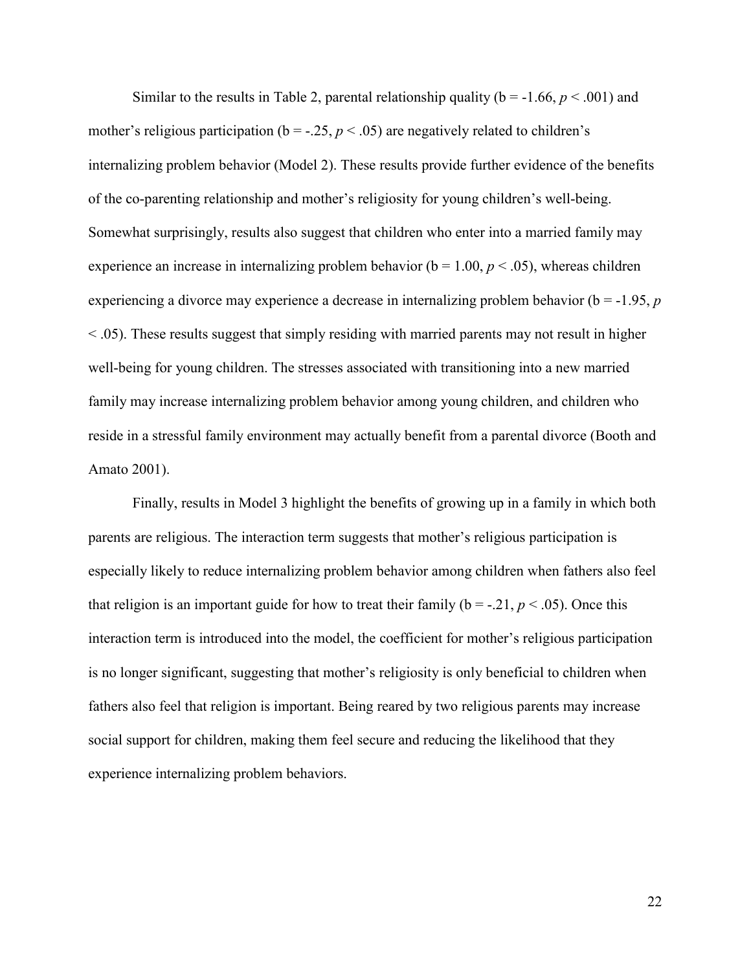Similar to the results in Table 2, parental relationship quality ( $b = -1.66$ ,  $p < .001$ ) and mother's religious participation ( $b = -.25$ ,  $p < .05$ ) are negatively related to children's internalizing problem behavior (Model 2). These results provide further evidence of the benefits of the co-parenting relationship and mother's religiosity for young children's well-being. Somewhat surprisingly, results also suggest that children who enter into a married family may experience an increase in internalizing problem behavior ( $b = 1.00, p < 0.05$ ), whereas children experiencing a divorce may experience a decrease in internalizing problem behavior (b = -1.95, *p*  < .05). These results suggest that simply residing with married parents may not result in higher well-being for young children. The stresses associated with transitioning into a new married family may increase internalizing problem behavior among young children, and children who reside in a stressful family environment may actually benefit from a parental divorce (Booth and Amato 2001).

Finally, results in Model 3 highlight the benefits of growing up in a family in which both parents are religious. The interaction term suggests that mother's religious participation is especially likely to reduce internalizing problem behavior among children when fathers also feel that religion is an important guide for how to treat their family ( $b = -.21$ ,  $p < .05$ ). Once this interaction term is introduced into the model, the coefficient for mother's religious participation is no longer significant, suggesting that mother's religiosity is only beneficial to children when fathers also feel that religion is important. Being reared by two religious parents may increase social support for children, making them feel secure and reducing the likelihood that they experience internalizing problem behaviors.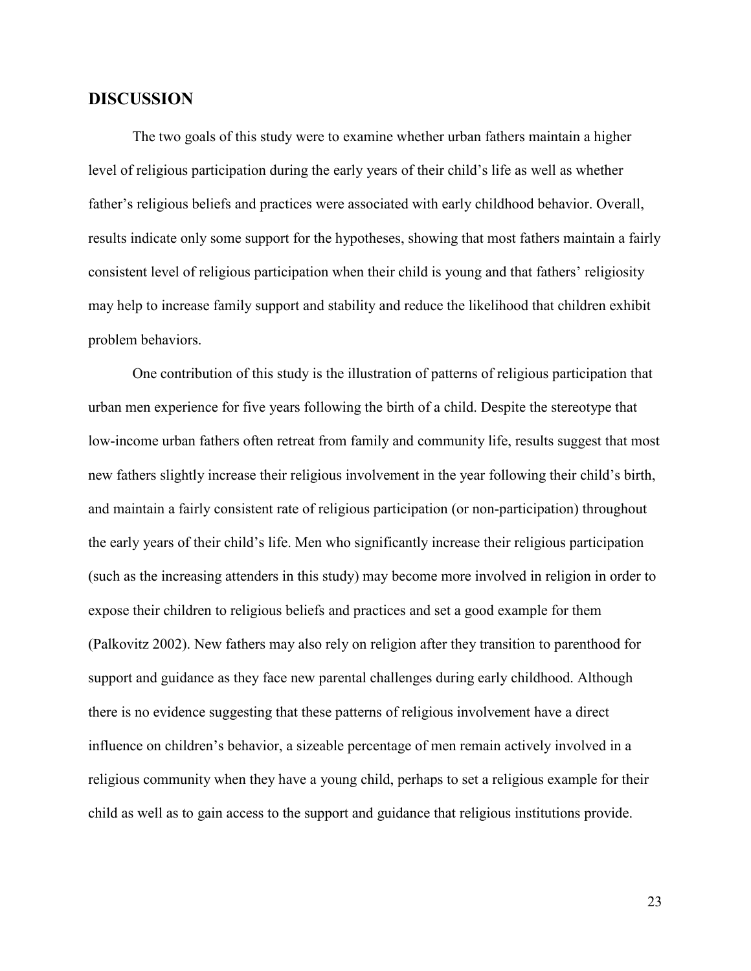#### **DISCUSSION**

The two goals of this study were to examine whether urban fathers maintain a higher level of religious participation during the early years of their child's life as well as whether father's religious beliefs and practices were associated with early childhood behavior. Overall, results indicate only some support for the hypotheses, showing that most fathers maintain a fairly consistent level of religious participation when their child is young and that fathers' religiosity may help to increase family support and stability and reduce the likelihood that children exhibit problem behaviors.

One contribution of this study is the illustration of patterns of religious participation that urban men experience for five years following the birth of a child. Despite the stereotype that low-income urban fathers often retreat from family and community life, results suggest that most new fathers slightly increase their religious involvement in the year following their child's birth, and maintain a fairly consistent rate of religious participation (or non-participation) throughout the early years of their child's life. Men who significantly increase their religious participation (such as the increasing attenders in this study) may become more involved in religion in order to expose their children to religious beliefs and practices and set a good example for them (Palkovitz 2002). New fathers may also rely on religion after they transition to parenthood for support and guidance as they face new parental challenges during early childhood. Although there is no evidence suggesting that these patterns of religious involvement have a direct influence on children's behavior, a sizeable percentage of men remain actively involved in a religious community when they have a young child, perhaps to set a religious example for their child as well as to gain access to the support and guidance that religious institutions provide.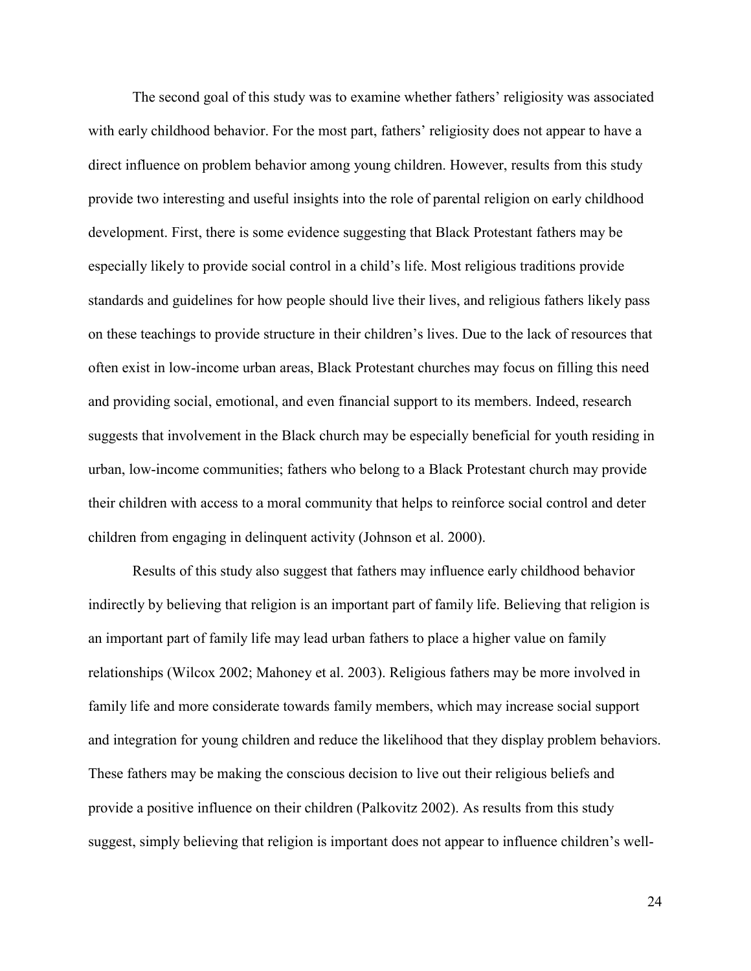The second goal of this study was to examine whether fathers' religiosity was associated with early childhood behavior. For the most part, fathers' religiosity does not appear to have a direct influence on problem behavior among young children. However, results from this study provide two interesting and useful insights into the role of parental religion on early childhood development. First, there is some evidence suggesting that Black Protestant fathers may be especially likely to provide social control in a child's life. Most religious traditions provide standards and guidelines for how people should live their lives, and religious fathers likely pass on these teachings to provide structure in their children's lives. Due to the lack of resources that often exist in low-income urban areas, Black Protestant churches may focus on filling this need and providing social, emotional, and even financial support to its members. Indeed, research suggests that involvement in the Black church may be especially beneficial for youth residing in urban, low-income communities; fathers who belong to a Black Protestant church may provide their children with access to a moral community that helps to reinforce social control and deter children from engaging in delinquent activity (Johnson et al. 2000).

Results of this study also suggest that fathers may influence early childhood behavior indirectly by believing that religion is an important part of family life. Believing that religion is an important part of family life may lead urban fathers to place a higher value on family relationships (Wilcox 2002; Mahoney et al. 2003). Religious fathers may be more involved in family life and more considerate towards family members, which may increase social support and integration for young children and reduce the likelihood that they display problem behaviors. These fathers may be making the conscious decision to live out their religious beliefs and provide a positive influence on their children (Palkovitz 2002). As results from this study suggest, simply believing that religion is important does not appear to influence children's well-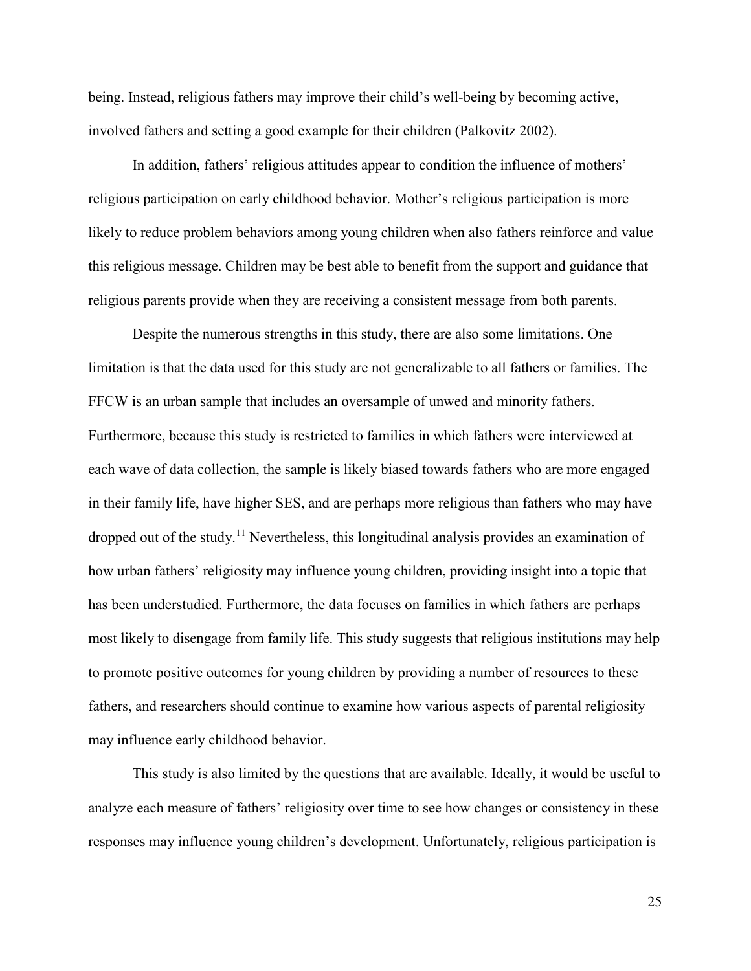being. Instead, religious fathers may improve their child's well-being by becoming active, involved fathers and setting a good example for their children (Palkovitz 2002).

In addition, fathers' religious attitudes appear to condition the influence of mothers' religious participation on early childhood behavior. Mother's religious participation is more likely to reduce problem behaviors among young children when also fathers reinforce and value this religious message. Children may be best able to benefit from the support and guidance that religious parents provide when they are receiving a consistent message from both parents.

Despite the numerous strengths in this study, there are also some limitations. One limitation is that the data used for this study are not generalizable to all fathers or families. The FFCW is an urban sample that includes an oversample of unwed and minority fathers. Furthermore, because this study is restricted to families in which fathers were interviewed at each wave of data collection, the sample is likely biased towards fathers who are more engaged in their family life, have higher SES, and are perhaps more religious than fathers who may have dropped out of the study.<sup>11</sup> Nevertheless, this longitudinal analysis provides an examination of how urban fathers' religiosity may influence young children, providing insight into a topic that has been understudied. Furthermore, the data focuses on families in which fathers are perhaps most likely to disengage from family life. This study suggests that religious institutions may help to promote positive outcomes for young children by providing a number of resources to these fathers, and researchers should continue to examine how various aspects of parental religiosity may influence early childhood behavior.

This study is also limited by the questions that are available. Ideally, it would be useful to analyze each measure of fathers' religiosity over time to see how changes or consistency in these responses may influence young children's development. Unfortunately, religious participation is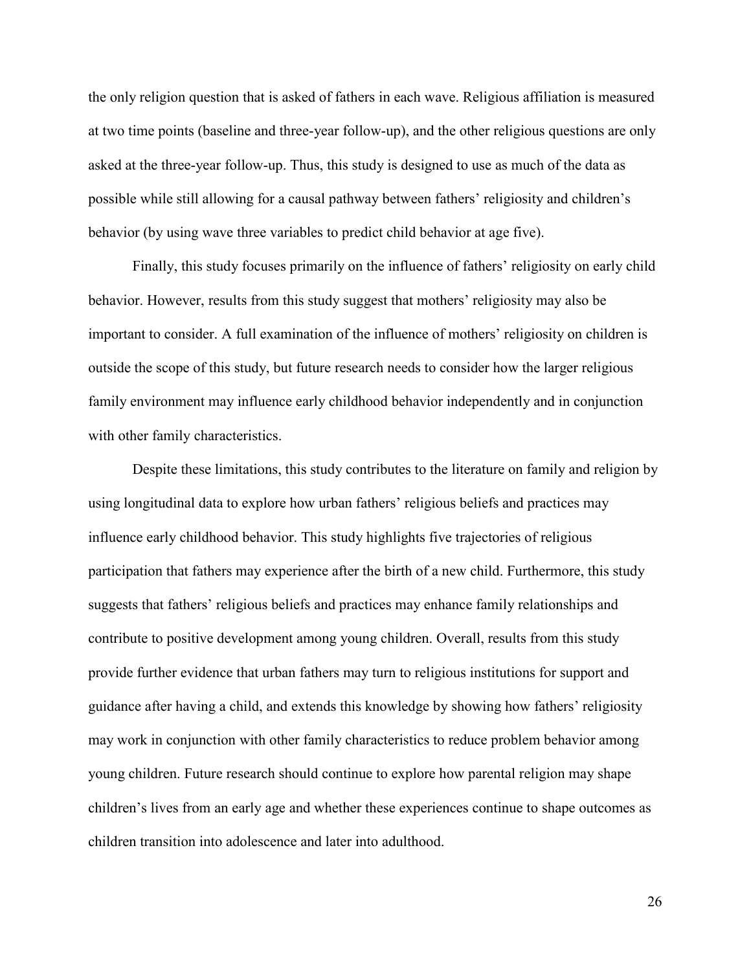the only religion question that is asked of fathers in each wave. Religious affiliation is measured at two time points (baseline and three-year follow-up), and the other religious questions are only asked at the three-year follow-up. Thus, this study is designed to use as much of the data as possible while still allowing for a causal pathway between fathers' religiosity and children's behavior (by using wave three variables to predict child behavior at age five).

Finally, this study focuses primarily on the influence of fathers' religiosity on early child behavior. However, results from this study suggest that mothers' religiosity may also be important to consider. A full examination of the influence of mothers' religiosity on children is outside the scope of this study, but future research needs to consider how the larger religious family environment may influence early childhood behavior independently and in conjunction with other family characteristics.

Despite these limitations, this study contributes to the literature on family and religion by using longitudinal data to explore how urban fathers' religious beliefs and practices may influence early childhood behavior. This study highlights five trajectories of religious participation that fathers may experience after the birth of a new child. Furthermore, this study suggests that fathers' religious beliefs and practices may enhance family relationships and contribute to positive development among young children. Overall, results from this study provide further evidence that urban fathers may turn to religious institutions for support and guidance after having a child, and extends this knowledge by showing how fathers' religiosity may work in conjunction with other family characteristics to reduce problem behavior among young children. Future research should continue to explore how parental religion may shape children's lives from an early age and whether these experiences continue to shape outcomes as children transition into adolescence and later into adulthood.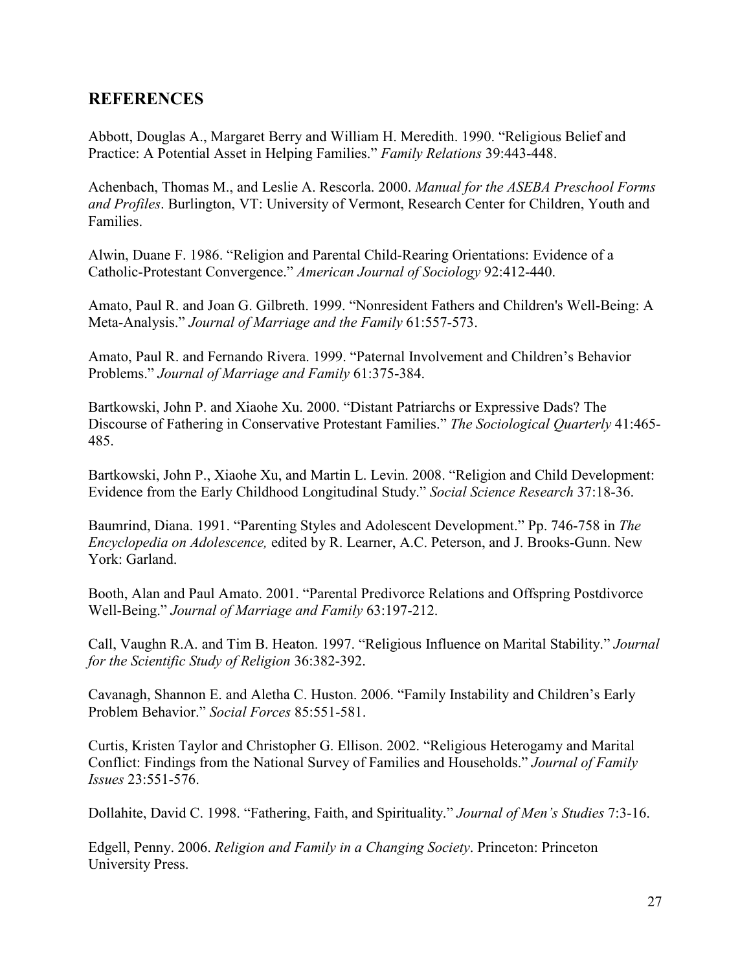# **REFERENCES**

Abbott, Douglas A., Margaret Berry and William H. Meredith. 1990. "Religious Belief and Practice: A Potential Asset in Helping Families." *Family Relations* 39:443-448.

Achenbach, Thomas M., and Leslie A. Rescorla. 2000. *Manual for the ASEBA Preschool Forms and Profiles*. Burlington, VT: University of Vermont, Research Center for Children, Youth and Families.

Alwin, Duane F. 1986. "Religion and Parental Child-Rearing Orientations: Evidence of a Catholic-Protestant Convergence." *American Journal of Sociology* 92:412-440.

Amato, Paul R. and Joan G. Gilbreth. 1999. "Nonresident Fathers and Children's Well-Being: A Meta-Analysis." *Journal of Marriage and the Family* 61:557-573.

Amato, Paul R. and Fernando Rivera. 1999. "Paternal Involvement and Children's Behavior Problems." *Journal of Marriage and Family* 61:375-384.

Bartkowski, John P. and Xiaohe Xu. 2000. "Distant Patriarchs or Expressive Dads? The Discourse of Fathering in Conservative Protestant Families." *The Sociological Quarterly* 41:465- 485.

Bartkowski, John P., Xiaohe Xu, and Martin L. Levin. 2008. "Religion and Child Development: Evidence from the Early Childhood Longitudinal Study." *Social Science Research* 37:18-36.

Baumrind, Diana. 1991. "Parenting Styles and Adolescent Development." Pp. 746-758 in *The Encyclopedia on Adolescence,* edited by R. Learner, A.C. Peterson, and J. Brooks-Gunn. New York: Garland.

Booth, Alan and Paul Amato. 2001. "Parental Predivorce Relations and Offspring Postdivorce Well-Being." *Journal of Marriage and Family* 63:197-212.

Call, Vaughn R.A. and Tim B. Heaton. 1997. "Religious Influence on Marital Stability." *Journal for the Scientific Study of Religion* 36:382-392.

Cavanagh, Shannon E. and Aletha C. Huston. 2006. "Family Instability and Children's Early Problem Behavior." *Social Forces* 85:551-581.

Curtis, Kristen Taylor and Christopher G. Ellison. 2002. "Religious Heterogamy and Marital Conflict: Findings from the National Survey of Families and Households." *Journal of Family Issues* 23:551-576.

Dollahite, David C. 1998. "Fathering, Faith, and Spirituality." *Journal of Men's Studies* 7:3-16.

Edgell, Penny. 2006. *Religion and Family in a Changing Society*. Princeton: Princeton University Press.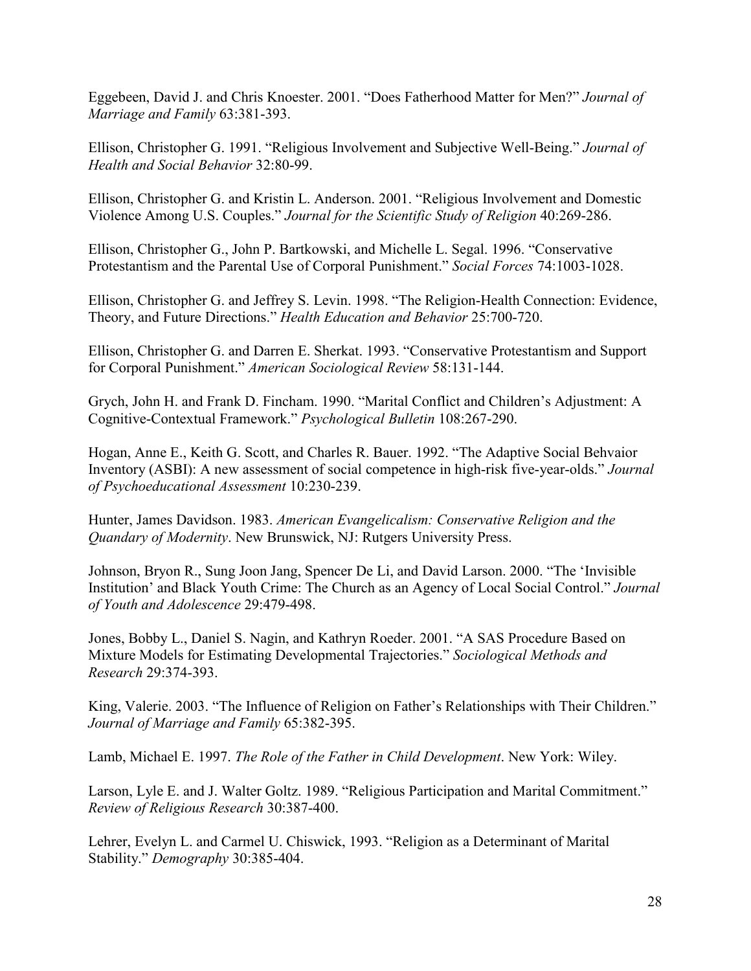Eggebeen, David J. and Chris Knoester. 2001. "Does Fatherhood Matter for Men?" *Journal of Marriage and Family* 63:381-393.

Ellison, Christopher G. 1991. "Religious Involvement and Subjective Well-Being." *Journal of Health and Social Behavior* 32:80-99.

Ellison, Christopher G. and Kristin L. Anderson. 2001. "Religious Involvement and Domestic Violence Among U.S. Couples." *Journal for the Scientific Study of Religion* 40:269-286.

Ellison, Christopher G., John P. Bartkowski, and Michelle L. Segal. 1996. "Conservative Protestantism and the Parental Use of Corporal Punishment." *Social Forces* 74:1003-1028.

Ellison, Christopher G. and Jeffrey S. Levin. 1998. "The Religion-Health Connection: Evidence, Theory, and Future Directions." *Health Education and Behavior* 25:700-720.

Ellison, Christopher G. and Darren E. Sherkat. 1993. "Conservative Protestantism and Support for Corporal Punishment." *American Sociological Review* 58:131-144.

Grych, John H. and Frank D. Fincham. 1990. "Marital Conflict and Children's Adjustment: A Cognitive-Contextual Framework." *Psychological Bulletin* 108:267-290.

Hogan, Anne E., Keith G. Scott, and Charles R. Bauer. 1992. "The Adaptive Social Behvaior Inventory (ASBI): A new assessment of social competence in high-risk five-year-olds." *Journal of Psychoeducational Assessment* 10:230-239.

Hunter, James Davidson. 1983. *American Evangelicalism: Conservative Religion and the Quandary of Modernity*. New Brunswick, NJ: Rutgers University Press.

Johnson, Bryon R., Sung Joon Jang, Spencer De Li, and David Larson. 2000. "The 'Invisible Institution' and Black Youth Crime: The Church as an Agency of Local Social Control." *Journal of Youth and Adolescence* 29:479-498.

Jones, Bobby L., Daniel S. Nagin, and Kathryn Roeder. 2001. "A SAS Procedure Based on Mixture Models for Estimating Developmental Trajectories." *Sociological Methods and Research* 29:374-393.

King, Valerie. 2003. "The Influence of Religion on Father's Relationships with Their Children." *Journal of Marriage and Family* 65:382-395.

Lamb, Michael E. 1997. *The Role of the Father in Child Development*. New York: Wiley.

Larson, Lyle E. and J. Walter Goltz. 1989. "Religious Participation and Marital Commitment." *Review of Religious Research* 30:387-400.

Lehrer, Evelyn L. and Carmel U. Chiswick, 1993. "Religion as a Determinant of Marital Stability." *Demography* 30:385-404.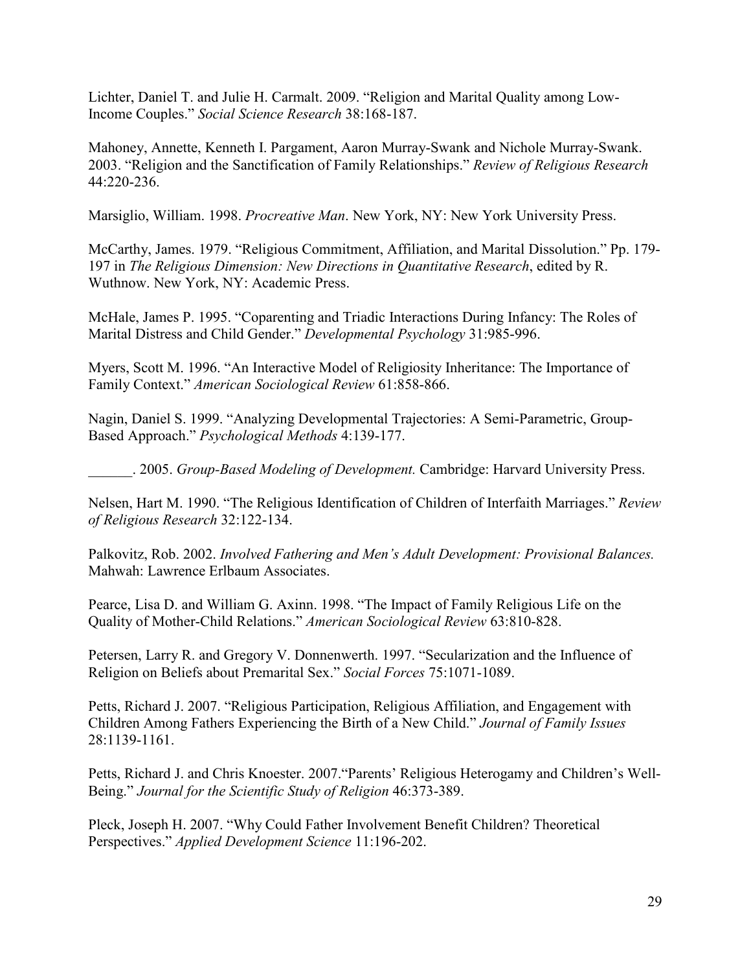Lichter, Daniel T. and Julie H. Carmalt. 2009. "Religion and Marital Quality among Low-Income Couples." *Social Science Research* 38:168-187.

Mahoney, Annette, Kenneth I. Pargament, Aaron Murray-Swank and Nichole Murray-Swank. 2003. "Religion and the Sanctification of Family Relationships." *Review of Religious Research*  44:220-236.

Marsiglio, William. 1998. *Procreative Man*. New York, NY: New York University Press.

McCarthy, James. 1979. "Religious Commitment, Affiliation, and Marital Dissolution." Pp. 179- 197 in *The Religious Dimension: New Directions in Quantitative Research*, edited by R. Wuthnow. New York, NY: Academic Press.

McHale, James P. 1995. "Coparenting and Triadic Interactions During Infancy: The Roles of Marital Distress and Child Gender." *Developmental Psychology* 31:985-996.

Myers, Scott M. 1996. "An Interactive Model of Religiosity Inheritance: The Importance of Family Context." *American Sociological Review* 61:858-866.

Nagin, Daniel S. 1999. "Analyzing Developmental Trajectories: A Semi-Parametric, Group-Based Approach." *Psychological Methods* 4:139-177.

\_\_\_\_\_\_. 2005. *Group-Based Modeling of Development.* Cambridge: Harvard University Press.

Nelsen, Hart M. 1990. "The Religious Identification of Children of Interfaith Marriages." *Review of Religious Research* 32:122-134.

Palkovitz, Rob. 2002. *Involved Fathering and Men's Adult Development: Provisional Balances.* Mahwah: Lawrence Erlbaum Associates.

Pearce, Lisa D. and William G. Axinn. 1998. "The Impact of Family Religious Life on the Quality of Mother-Child Relations." *American Sociological Review* 63:810-828.

Petersen, Larry R. and Gregory V. Donnenwerth. 1997. "Secularization and the Influence of Religion on Beliefs about Premarital Sex." *Social Forces* 75:1071-1089.

Petts, Richard J. 2007. "Religious Participation, Religious Affiliation, and Engagement with Children Among Fathers Experiencing the Birth of a New Child." *Journal of Family Issues*  28:1139-1161.

Petts, Richard J. and Chris Knoester. 2007."Parents' Religious Heterogamy and Children's Well-Being." *Journal for the Scientific Study of Religion* 46:373-389.

Pleck, Joseph H. 2007. "Why Could Father Involvement Benefit Children? Theoretical Perspectives." *Applied Development Science* 11:196-202.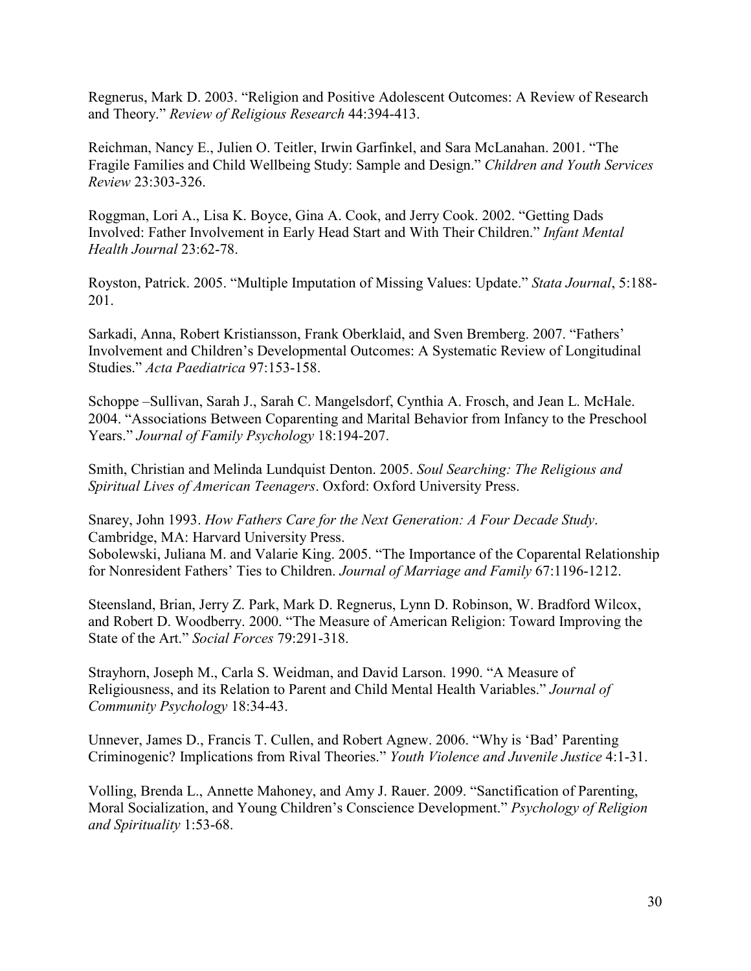Regnerus, Mark D. 2003. "Religion and Positive Adolescent Outcomes: A Review of Research and Theory." *Review of Religious Research* 44:394-413.

Reichman, Nancy E., Julien O. Teitler, Irwin Garfinkel, and Sara McLanahan. 2001. "The Fragile Families and Child Wellbeing Study: Sample and Design." *Children and Youth Services Review* 23:303-326.

Roggman, Lori A., Lisa K. Boyce, Gina A. Cook, and Jerry Cook. 2002. "Getting Dads Involved: Father Involvement in Early Head Start and With Their Children." *Infant Mental Health Journal* 23:62-78.

Royston, Patrick. 2005. "Multiple Imputation of Missing Values: Update." *Stata Journal*, 5:188- 201.

Sarkadi, Anna, Robert Kristiansson, Frank Oberklaid, and Sven Bremberg. 2007. "Fathers' Involvement and Children's Developmental Outcomes: A Systematic Review of Longitudinal Studies." *Acta Paediatrica* 97:153-158.

Schoppe –Sullivan, Sarah J., Sarah C. Mangelsdorf, Cynthia A. Frosch, and Jean L. McHale. 2004. "Associations Between Coparenting and Marital Behavior from Infancy to the Preschool Years." *Journal of Family Psychology* 18:194-207.

Smith, Christian and Melinda Lundquist Denton. 2005. *Soul Searching: The Religious and Spiritual Lives of American Teenagers*. Oxford: Oxford University Press.

Snarey, John 1993. *How Fathers Care for the Next Generation: A Four Decade Study*. Cambridge, MA: Harvard University Press.

Sobolewski, Juliana M. and Valarie King. 2005. "The Importance of the Coparental Relationship for Nonresident Fathers' Ties to Children. *Journal of Marriage and Family* 67:1196-1212.

Steensland, Brian, Jerry Z. Park, Mark D. Regnerus, Lynn D. Robinson, W. Bradford Wilcox, and Robert D. Woodberry. 2000. "The Measure of American Religion: Toward Improving the State of the Art." *Social Forces* 79:291-318.

Strayhorn, Joseph M., Carla S. Weidman, and David Larson. 1990. "A Measure of Religiousness, and its Relation to Parent and Child Mental Health Variables." *Journal of Community Psychology* 18:34-43.

Unnever, James D., Francis T. Cullen, and Robert Agnew. 2006. "Why is 'Bad' Parenting Criminogenic? Implications from Rival Theories." *Youth Violence and Juvenile Justice* 4:1-31.

Volling, Brenda L., Annette Mahoney, and Amy J. Rauer. 2009. "Sanctification of Parenting, Moral Socialization, and Young Children's Conscience Development." *Psychology of Religion and Spirituality* 1:53-68.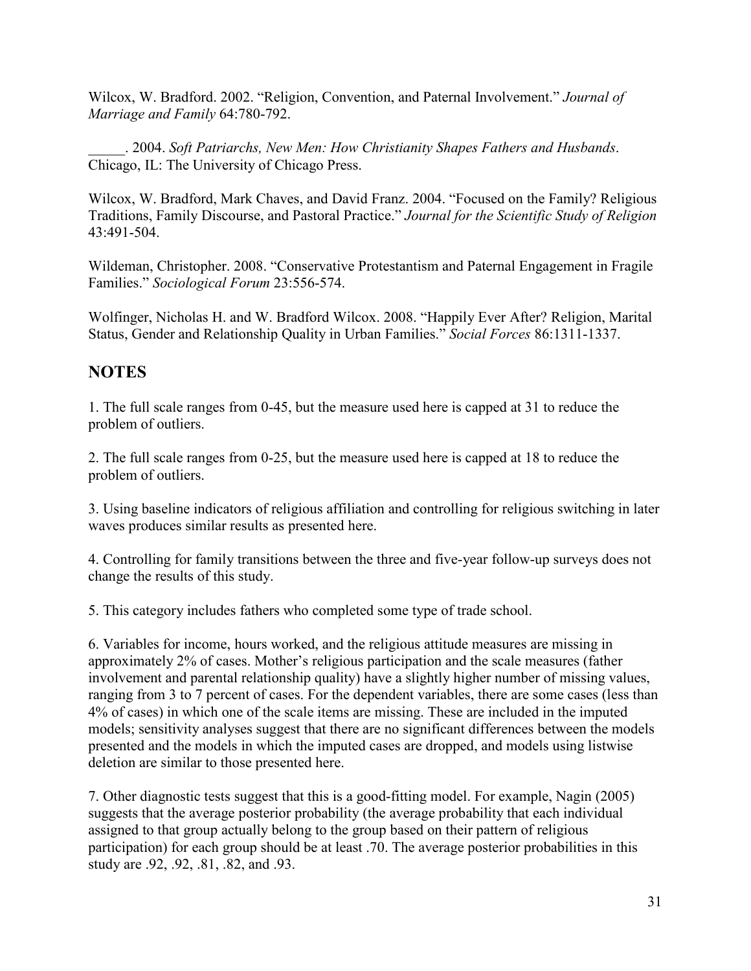Wilcox, W. Bradford. 2002. "Religion, Convention, and Paternal Involvement." *Journal of Marriage and Family* 64:780-792.

\_\_\_\_\_. 2004. *Soft Patriarchs, New Men: How Christianity Shapes Fathers and Husbands*. Chicago, IL: The University of Chicago Press.

Wilcox, W. Bradford, Mark Chaves, and David Franz. 2004. "Focused on the Family? Religious Traditions, Family Discourse, and Pastoral Practice." *Journal for the Scientific Study of Religion* 43:491-504.

Wildeman, Christopher. 2008. "Conservative Protestantism and Paternal Engagement in Fragile Families." *Sociological Forum* 23:556-574.

Wolfinger, Nicholas H. and W. Bradford Wilcox. 2008. "Happily Ever After? Religion, Marital Status, Gender and Relationship Quality in Urban Families." *Social Forces* 86:1311-1337.

# **NOTES**

1. The full scale ranges from 0-45, but the measure used here is capped at 31 to reduce the problem of outliers.

2. The full scale ranges from 0-25, but the measure used here is capped at 18 to reduce the problem of outliers.

3. Using baseline indicators of religious affiliation and controlling for religious switching in later waves produces similar results as presented here.

4. Controlling for family transitions between the three and five-year follow-up surveys does not change the results of this study.

5. This category includes fathers who completed some type of trade school.

6. Variables for income, hours worked, and the religious attitude measures are missing in approximately 2% of cases. Mother's religious participation and the scale measures (father involvement and parental relationship quality) have a slightly higher number of missing values, ranging from 3 to 7 percent of cases. For the dependent variables, there are some cases (less than 4% of cases) in which one of the scale items are missing. These are included in the imputed models; sensitivity analyses suggest that there are no significant differences between the models presented and the models in which the imputed cases are dropped, and models using listwise deletion are similar to those presented here.

7. Other diagnostic tests suggest that this is a good-fitting model. For example, Nagin (2005) suggests that the average posterior probability (the average probability that each individual assigned to that group actually belong to the group based on their pattern of religious participation) for each group should be at least .70. The average posterior probabilities in this study are .92, .92, .81, .82, and .93.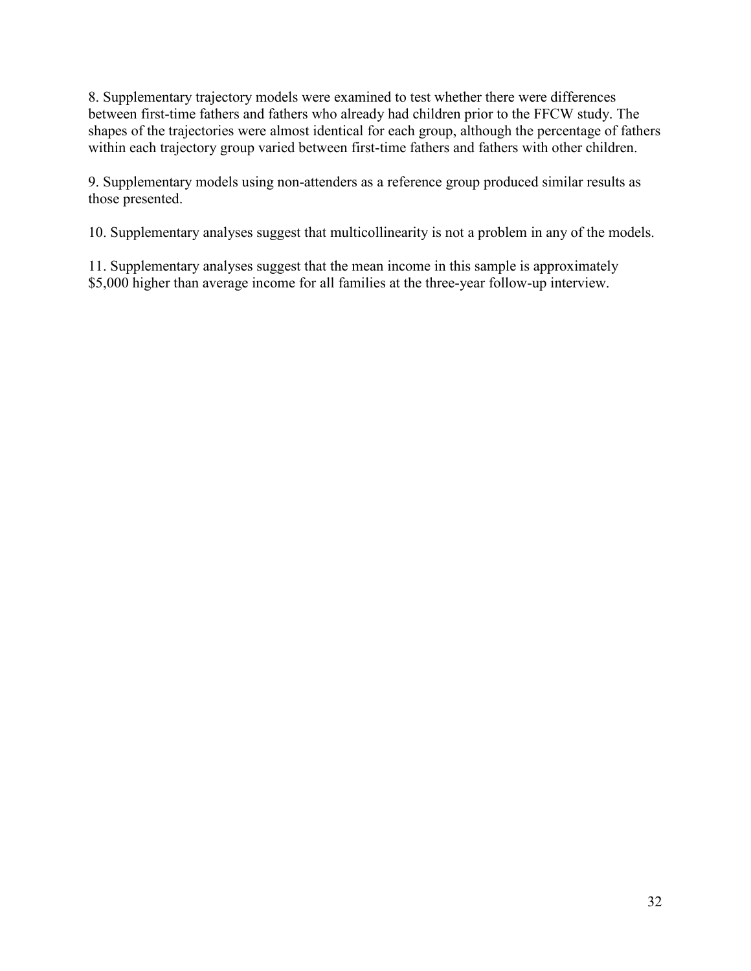8. Supplementary trajectory models were examined to test whether there were differences between first-time fathers and fathers who already had children prior to the FFCW study. The shapes of the trajectories were almost identical for each group, although the percentage of fathers within each trajectory group varied between first-time fathers and fathers with other children.

9. Supplementary models using non-attenders as a reference group produced similar results as those presented.

10. Supplementary analyses suggest that multicollinearity is not a problem in any of the models.

11. Supplementary analyses suggest that the mean income in this sample is approximately \$5,000 higher than average income for all families at the three-year follow-up interview.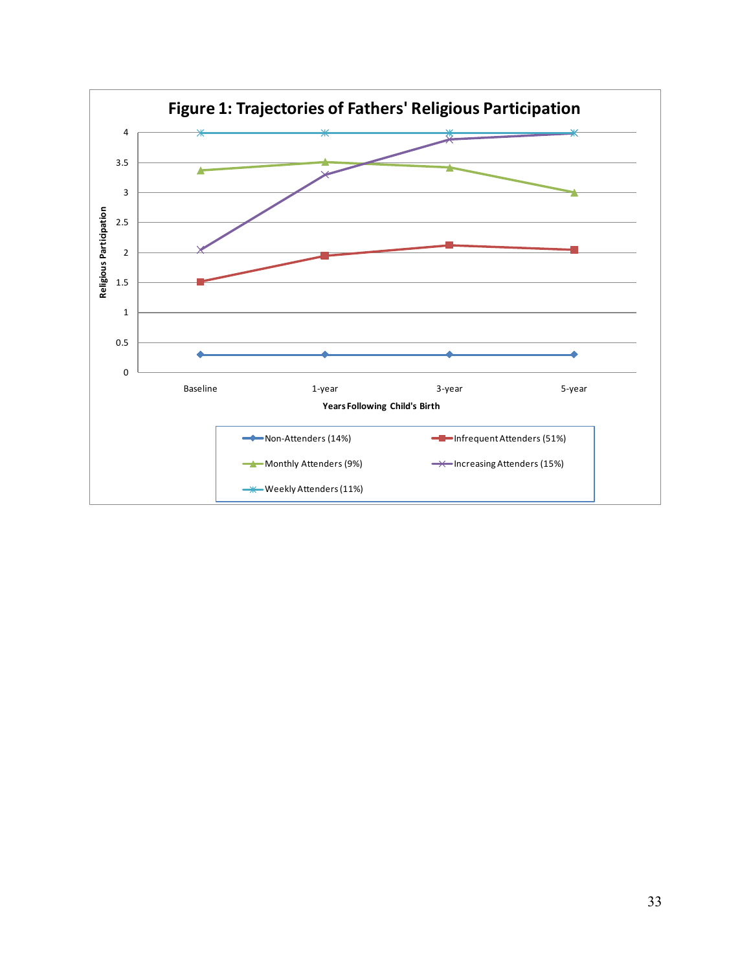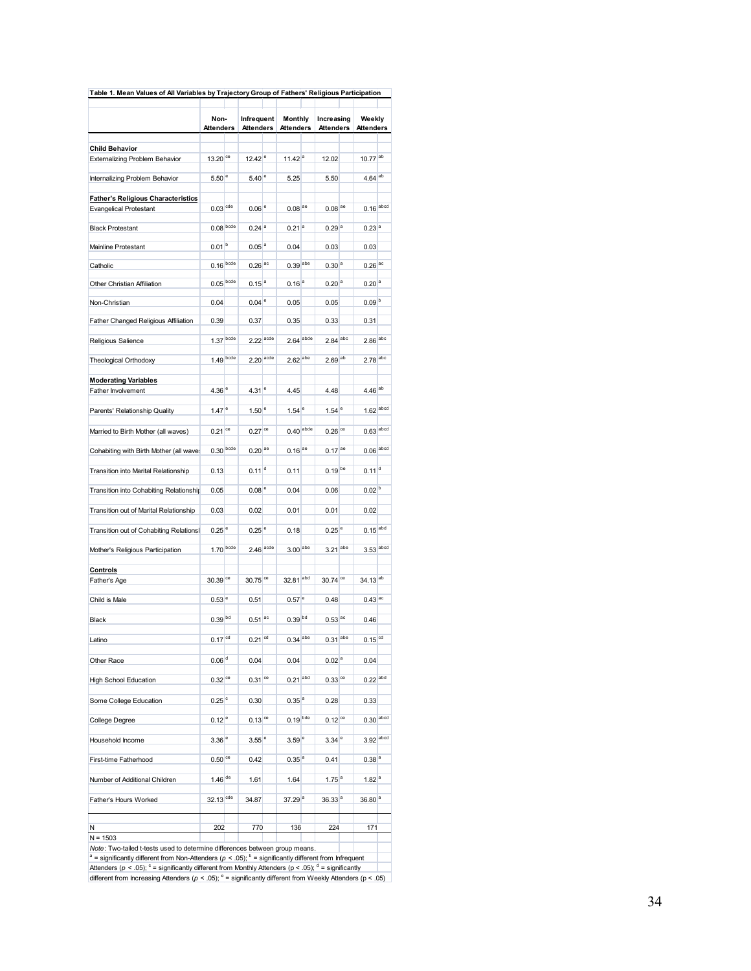|                                           | Non-<br>Attenders    |  | Infrequent<br><b>Attenders</b> |  | <b>Monthly</b><br>Attenders |  | Increasing<br>Attenders |  | Weekly<br>Attenders    |  |
|-------------------------------------------|----------------------|--|--------------------------------|--|-----------------------------|--|-------------------------|--|------------------------|--|
|                                           |                      |  |                                |  |                             |  |                         |  |                        |  |
| <b>Child Behavior</b>                     |                      |  |                                |  |                             |  |                         |  |                        |  |
| <b>Externalizing Problem Behavior</b>     | 13.20 <sup>ce</sup>  |  | $12.42$ <sup>e</sup>           |  | $11.42$ <sup>a</sup>        |  | 12.02                   |  | $10.77$ <sup>ab</sup>  |  |
| Internalizing Problem Behavior            | 5.50 <sup>e</sup>    |  | $5.40$ <sup>e</sup>            |  | 5.25                        |  | 5.50                    |  | $4.64$ <sup>ab</sup>   |  |
| <b>Father's Religious Characteristics</b> |                      |  |                                |  |                             |  |                         |  |                        |  |
| <b>Evangelical Protestant</b>             | $0.03$ cde           |  | $0.06$ <sup>e</sup>            |  | $0.08$ <sup>ae</sup>        |  | $0.08$ <sup>ae</sup>    |  | $0.16$ abod            |  |
| <b>Black Protestant</b>                   | $0.08$ bcde          |  | $0.24$ <sup>a</sup>            |  | $0.21$ <sup>a</sup>         |  | 0.29 <sup>a</sup>       |  | $0.23$ <sup>a</sup>    |  |
| <b>Mainline Protestant</b>                | 0.01 <sup>b</sup>    |  | 0.05 <sup>a</sup>              |  | 0.04                        |  | 0.03                    |  | 0.03                   |  |
| Catholic                                  | $0.16$ bcde          |  | $0.26$ <sup>ac</sup>           |  | $0.39 ^{abe}$               |  | 0.30 <sup>a</sup>       |  | $0.26$ <sup>ac</sup>   |  |
| Other Christian Affiliation               | $0.05$ bcde          |  | $0.15^{a}$                     |  | $0.16^{a}$                  |  | 0.20 <sup>a</sup>       |  | 0.20 <sup>a</sup>      |  |
| Non-Christian                             | 0.04                 |  | $0.04$ <sup>e</sup>            |  | 0.05                        |  | 0.05                    |  | 0.09 <sup>b</sup>      |  |
| Father Changed Religious Affiliation      | 0.39                 |  | 0.37                           |  | 0.35                        |  | 0.33                    |  | 0.31                   |  |
| Religious Salience                        | $1.37 ^{bcde}$       |  | $2.22$ <sup>acde</sup>         |  | $2.64$ <sup>abde</sup>      |  | $2.84$ <sup>abc</sup>   |  | $2.86$ <sup>abc</sup>  |  |
| Theological Orthodoxy                     | $1.49$ bcde          |  | $2.20$ <sup>acde</sup>         |  | $2.62$ <sup>abe</sup>       |  | $2.69$ <sup>ab</sup>    |  | $2.78$ <sup>abc</sup>  |  |
|                                           |                      |  |                                |  |                             |  |                         |  |                        |  |
| <b>Moderating Variables</b>               |                      |  |                                |  |                             |  |                         |  |                        |  |
| Father Involvement                        | 4.36 <sup>e</sup>    |  | 4.31 <sup>e</sup>              |  | 4.45                        |  | 4.48                    |  | $4.46$ <sup>ab</sup>   |  |
| Parents' Relationship Quality             | $1.47$ <sup>e</sup>  |  | 1.50 <sup>°</sup>              |  | $1.54$ <sup>e</sup>         |  | $1.54$ <sup>e</sup>     |  | $1.62$ <sup>abcd</sup> |  |
| Married to Birth Mother (all waves)       | $0.21$ <sup>ce</sup> |  | $0.27$ <sup>ce</sup>           |  | $0.40$ abde                 |  | $0.26$ <sup>ce</sup>    |  | $0.63$ <sup>abcd</sup> |  |
| Cohabiting with Birth Mother (all waves   | $0.30$ bcde          |  | $0.20$ <sup>ae</sup>           |  | $0.16^{ae}$                 |  | $0.17^{a}$              |  | $0.06$ abcd            |  |
| Transition into Marital Relationship      | 0.13                 |  | $0.11$ <sup>d</sup>            |  | 0.11                        |  | $0.19$ be               |  | $0.11$ <sup>d</sup>    |  |
| Transition into Cohabiting Relationship   | 0.05                 |  | 0.08 <sup>°</sup>              |  | 0.04                        |  | 0.06                    |  | 0.02 <sup>b</sup>      |  |
| Transition out of Marital Relationship    | 0.03                 |  | 0.02                           |  | 0.01                        |  | 0.01                    |  | 0.02                   |  |
| Transition out of Cohabiting Relations!   | $0.25$ <sup>e</sup>  |  | $0.25$ <sup>e</sup>            |  | 0.18                        |  | $0.25$ <sup>e</sup>     |  | $0.15$ <sup>abd</sup>  |  |
| Mother's Religious Participation          | $1.70$ bcde          |  | $2.46$ <sup>acde</sup>         |  | $3.00$ abe                  |  | $3.21$ <sup>abe</sup>   |  | $3.53$ <sup>abod</sup> |  |
|                                           |                      |  |                                |  |                             |  |                         |  |                        |  |
| Controls<br>Father's Age                  | 30.39 <sup>ce</sup>  |  | 30.75 <sup>ce</sup>            |  | 32.81 <sup>abd</sup>        |  | 30.74 <sup>ce</sup>     |  | 34.13 <sup>ab</sup>    |  |
|                                           |                      |  |                                |  |                             |  |                         |  |                        |  |
| Child is Male                             | 0.53 <sup>e</sup>    |  | 0.51                           |  | $0.57$ <sup>e</sup>         |  | 0.48                    |  | $0.43$ <sup>ac</sup>   |  |
| Black                                     | $0.39 ^{bd}$         |  | $0.51$ <sup>ac</sup>           |  | 0.39 <sup>bd</sup>          |  | $0.53$ <sup>ac</sup>    |  | 0.46                   |  |
| Latino                                    | $0.17$ <sup>cd</sup> |  | $0.21$ <sup>cd</sup>           |  | $0.34$ <sup>abe</sup>       |  | 0.31 <sup>abe</sup>     |  | $0.15$ <sup>cd</sup>   |  |
| Other Race                                | 0.06 <sup>d</sup>    |  | 0.04                           |  | 0.04                        |  | 0.02 <sup>a</sup>       |  | 0.04                   |  |
| <b>High School Education</b>              | $0.32$ <sup>ce</sup> |  | $0.31$ <sup>ce</sup>           |  | $0.21$ <sup>abd</sup>       |  | $0.33$ <sup>ce</sup>    |  | $0.22$ <sup>abd</sup>  |  |
| Some College Education                    | $0.25$ <sup>c</sup>  |  | 0.30                           |  | 0.35 <sup>a</sup>           |  | 0.28                    |  | 0.33                   |  |
| College Degree                            | $0.12$ <sup>e</sup>  |  | $0.13$ <sup>ce</sup>           |  | $0.19$ bde                  |  | $0.12$ <sup>ce</sup>    |  | $0.30$ <sup>abcd</sup> |  |
|                                           |                      |  |                                |  |                             |  |                         |  | $3.92$ <sup>abcd</sup> |  |
| Household Income                          | 3.36 <sup>e</sup>    |  | $3.55$ <sup>e</sup>            |  | 3.59 <sup>°</sup>           |  | 3.34 <sup>°</sup>       |  |                        |  |
| First-time Fatherhood                     | $0.50$ ce            |  | 0.42                           |  | 0.35 <sup>a</sup>           |  | 0.41                    |  | 0.38 <sup>a</sup>      |  |
| Number of Additional Children             | $1.46$ de            |  | 1.61                           |  | 1.64                        |  | $1.75$ <sup>a</sup>     |  | 1.82 <sup>a</sup>      |  |
| Father's Hours Worked                     | $32.13$ cde          |  | 34.87                          |  | 37.29 <sup>a</sup>          |  | 36.33 <sup>a</sup>      |  | 36.80 <sup>a</sup>     |  |
| Ν                                         | 202                  |  | 770                            |  | 136                         |  | 224                     |  | 171                    |  |
| $N = 1503$                                |                      |  |                                |  |                             |  |                         |  |                        |  |

*Note* : Two-tailed t-tests used to determine differences between group means.<br><sup>a</sup> = significantly different from Non-Attenders (p < .05); <sup>b</sup> = significantly different from Infrequent<br>Attenders (p < .05); <sup>c</sup> = significan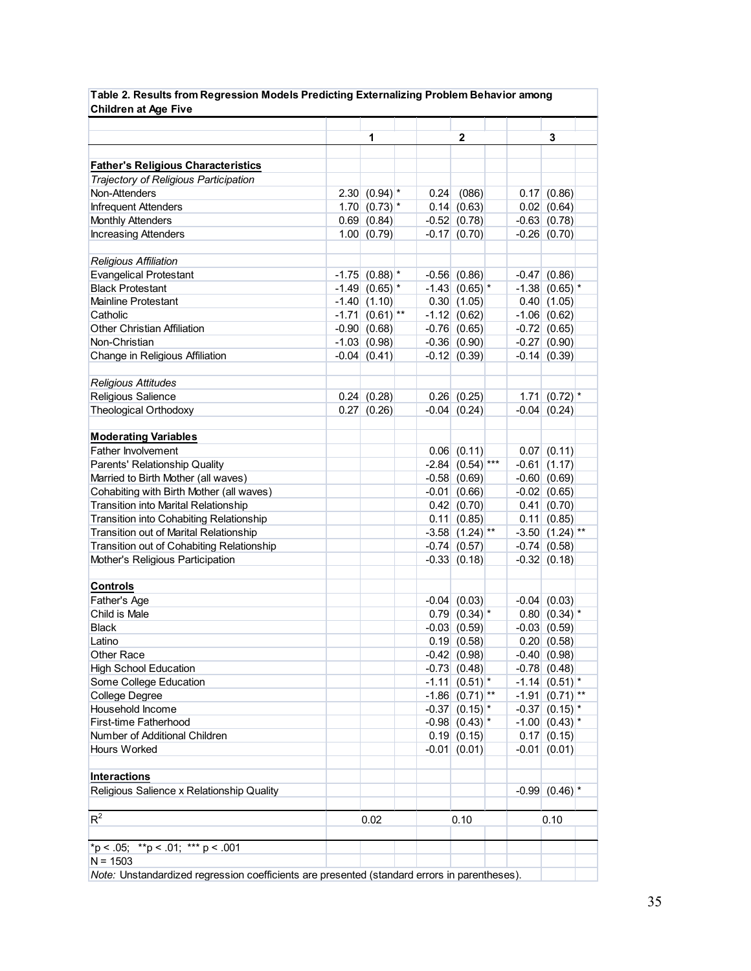| <b>Children at Age Five</b>                                                                  |   |                              |  |      |                              |      |                               |  |
|----------------------------------------------------------------------------------------------|---|------------------------------|--|------|------------------------------|------|-------------------------------|--|
|                                                                                              | 1 |                              |  |      | $\overline{2}$               |      |                               |  |
|                                                                                              |   |                              |  |      |                              |      | 3                             |  |
| <b>Father's Religious Characteristics</b>                                                    |   |                              |  |      |                              |      |                               |  |
| Trajectory of Religious Participation                                                        |   |                              |  |      |                              |      |                               |  |
| Non-Attenders                                                                                |   | 2.30 $(0.94)$ *              |  | 0.24 | (086)                        |      | 0.17   (0.86)                 |  |
| <b>Infrequent Attenders</b>                                                                  |   | $1.70$ (0.73) <sup>*</sup>   |  |      | 0.14   (0.63)                |      | 0.02   (0.64)                 |  |
| <b>Monthly Attenders</b>                                                                     |   | 0.69   (0.84)                |  |      | $-0.52   (0.78)$             |      | $-0.63   (0.78)$              |  |
| <b>Increasing Attenders</b>                                                                  |   | 1.00   (0.79)                |  |      | $-0.17$ (0.70)               |      | $-0.26   (0.70)$              |  |
|                                                                                              |   |                              |  |      |                              |      |                               |  |
| <b>Religious Affiliation</b>                                                                 |   |                              |  |      |                              |      |                               |  |
| <b>Evangelical Protestant</b>                                                                |   | $-1.75$ (0.88) $*$           |  |      | $-0.56$ $(0.86)$             |      | $-0.47$ (0.86)                |  |
| <b>Black Protestant</b>                                                                      |   | $-1.49$ (0.65) <sup>*</sup>  |  |      | $-1.43   (0.65)^*$           |      | $-1.38$ (0.65) <sup>*</sup>   |  |
| <b>Mainline Protestant</b>                                                                   |   | $-1.40$ (1.10)               |  |      | 0.30(1.05)                   |      | 0.40(1.05)                    |  |
| Catholic                                                                                     |   | $-1.71$ (0.61) <sup>**</sup> |  |      | $-1.12$ (0.62)               |      | $-1.06$ (0.62)                |  |
| <b>Other Christian Affiliation</b>                                                           |   | $-0.90(0.68)$                |  |      | $-0.76$ (0.65)               |      | $-0.72   (0.65)$              |  |
| Non-Christian                                                                                |   | $-1.03$ (0.98)               |  |      | $-0.36   (0.90)$             |      | $-0.27$ (0.90)                |  |
| Change in Religious Affiliation                                                              |   | $-0.04   (0.41)$             |  |      | $-0.12   (0.39)$             |      | $-0.14$ (0.39)                |  |
|                                                                                              |   |                              |  |      |                              |      |                               |  |
| <b>Religious Attitudes</b>                                                                   |   |                              |  |      |                              |      |                               |  |
| Religious Salience                                                                           |   | 0.24   (0.28)                |  |      | 0.26   (0.25)                |      | 1.71 $(0.72)$ *               |  |
| Theological Orthodoxy                                                                        |   | 0.27   (0.26)                |  |      | $-0.04$ (0.24)               |      | $-0.04   (0.24)$              |  |
|                                                                                              |   |                              |  |      |                              |      |                               |  |
| <b>Moderating Variables</b>                                                                  |   |                              |  |      |                              |      |                               |  |
| Father Involvement                                                                           |   |                              |  |      | 0.06   (0.11)                |      | $0.07$ $(0.11)$               |  |
| Parents' Relationship Quality                                                                |   |                              |  |      | $-2.84$ (0.54) ***           |      | $-0.61$ (1.17)                |  |
| Married to Birth Mother (all waves)                                                          |   |                              |  |      | $-0.58$ (0.69)               |      | $-0.60$ (0.69)                |  |
| Cohabiting with Birth Mother (all waves)                                                     |   |                              |  |      | $-0.01$ (0.66)               |      | $-0.02$ (0.65)                |  |
| Transition into Marital Relationship                                                         |   |                              |  |      | 0.42   (0.70)                |      | 0.41(0.70)                    |  |
| Transition into Cohabiting Relationship                                                      |   |                              |  |      | $0.11$ (0.85)                |      | $0.11$ $(0.85)$               |  |
| Transition out of Marital Relationship                                                       |   |                              |  |      | $-3.58$ (1.24) <sup>**</sup> |      | $-3.50$ $(1.24)$ **           |  |
| Transition out of Cohabiting Relationship                                                    |   |                              |  |      | $-0.74$ (0.57)               |      | $-0.74$ (0.58)                |  |
| Mother's Religious Participation                                                             |   |                              |  |      | $-0.33   (0.18)$             |      | $-0.32   (0.18)$              |  |
|                                                                                              |   |                              |  |      |                              |      |                               |  |
| <b>Controls</b>                                                                              |   |                              |  |      |                              |      |                               |  |
| Father's Age                                                                                 |   |                              |  |      | $-0.04$ (0.03)               |      | $-0.04$ (0.03)                |  |
| Child is Male                                                                                |   |                              |  |      | 0.79   (0.34)                |      | $0.80   (0.34)$ <sup>*</sup>  |  |
| <b>Black</b>                                                                                 |   |                              |  |      | $-0.03   (0.59)$             |      | $-0.03$ $(0.59)$              |  |
| Latino                                                                                       |   |                              |  |      | 0.19   (0.58)                |      | 0.20   (0.58)                 |  |
| Other Race                                                                                   |   |                              |  |      | $-0.42$ (0.98)               |      | $-0.40(0.98)$                 |  |
| <b>High School Education</b>                                                                 |   |                              |  |      | $-0.73$ (0.48)               |      | $-0.78$ (0.48)                |  |
| Some College Education                                                                       |   |                              |  |      | $-1.11$ (0.51) <sup>*</sup>  |      | $-1.14   (0.51)$ <sup>*</sup> |  |
| College Degree                                                                               |   |                              |  |      | $-1.86   (0.71)$ **          |      | $-1.91$ (0.71) <sup>**</sup>  |  |
| Household Income                                                                             |   |                              |  |      | $-0.37   (0.15) ^*$          |      | $-0.37   (0.15)$ <sup>*</sup> |  |
| First-time Fatherhood                                                                        |   |                              |  |      | $-0.98$ $(0.43)$ *           |      | $-1.00$ $(0.43)$ *            |  |
| Number of Additional Children                                                                |   |                              |  |      | $0.19$ $(0.15)$              |      | 0.17   (0.15)                 |  |
| Hours Worked                                                                                 |   |                              |  |      | $-0.01$ (0.01)               |      | $-0.01   (0.01)$              |  |
|                                                                                              |   |                              |  |      |                              |      |                               |  |
| <b>Interactions</b>                                                                          |   |                              |  |      |                              |      |                               |  |
| Religious Salience x Relationship Quality                                                    |   |                              |  |      |                              |      | $-0.99$ $(0.46)$ *            |  |
| $R^2$                                                                                        |   | 0.02                         |  |      | 0.10                         | 0.10 |                               |  |
|                                                                                              |   |                              |  |      |                              |      |                               |  |
| *p < .05; **p < .01; *** p < .001                                                            |   |                              |  |      |                              |      |                               |  |
| $N = 1503$                                                                                   |   |                              |  |      |                              |      |                               |  |
| Note: Unstandardized regression coefficients are presented (standard errors in parentheses). |   |                              |  |      |                              |      |                               |  |

**Table 2. Results from Regression Models Predicting Externalizing Problem Behavior among**